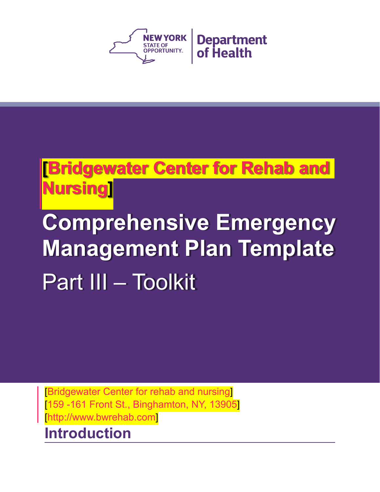

## **[Bridgewater Center for Rehab and Nursing]**

# **Comprehensive Emergency Management Plan Template**  Part III – Toolkit

[Bridgewater Center for rehab and nursing] [159 -161 Front St., Binghamton, NY, 13905] [http://www.bwrehab.com]

## **Introduction**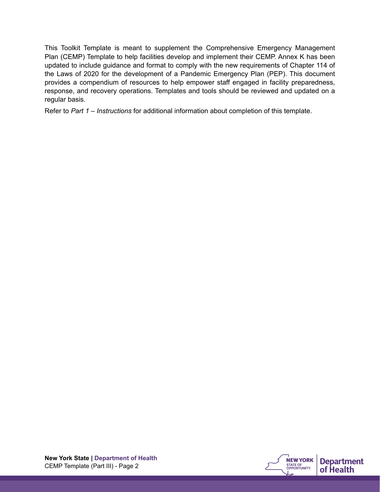This Toolkit Template is meant to supplement the Comprehensive Emergency Management Plan (CEMP) Template to help facilities develop and implement their CEMP. Annex K has been updated to include guidance and format to comply with the new requirements of Chapter 114 of the Laws of 2020 for the development of a Pandemic Emergency Plan (PEP). This document provides a compendium of resources to help empower staff engaged in facility preparedness, response, and recovery operations. Templates and tools should be reviewed and updated on a regular basis.

Refer to *Part 1 – Instructions* for additional information about completion of this template.

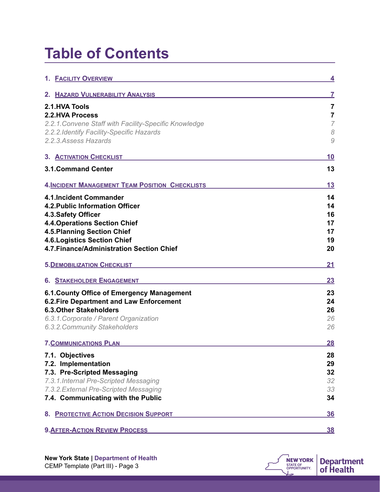## **Table of Contents**

| 1. <b>FACILITY OVERVIEW</b>                                               | 4              |
|---------------------------------------------------------------------------|----------------|
| 2. HAZARD VULNERABILITY ANALYSIS                                          | 7              |
| 2.1.HVA Tools                                                             | 7              |
| <b>2.2.HVA Process</b>                                                    | 7              |
| 2.2.1. Convene Staff with Facility-Specific Knowledge                     | $\overline{7}$ |
| 2.2.2. Identify Facility-Specific Hazards                                 | 8              |
| 2.2.3. Assess Hazards                                                     | 9              |
| 3. ACTIVATION CHECKLIST                                                   | 10             |
| <b>3.1.Command Center</b>                                                 | 13             |
| <b>4. INCIDENT MANAGEMENT TEAM POSITION CHECKLISTS</b>                    | 13             |
| 4.1.Incident Commander                                                    | 14             |
| 4.2. Public Information Officer                                           | 14             |
| 4.3. Safety Officer                                                       | 16             |
| <b>4.4. Operations Section Chief</b>                                      | 17             |
| <b>4.5. Planning Section Chief</b><br><b>4.6. Logistics Section Chief</b> | 17<br>19       |
| 4.7. Finance/Administration Section Chief                                 | 20             |
|                                                                           |                |
| <b>5. DEMOBILIZATION CHECKLIST</b>                                        | 21             |
| <b>6. STAKEHOLDER ENGAGEMENT</b>                                          | 23             |
| 6.1. County Office of Emergency Management                                | 23             |
| 6.2. Fire Department and Law Enforcement                                  | 24             |
| <b>6.3. Other Stakeholders</b>                                            | 26             |
| 6.3.1. Corporate / Parent Organization                                    | 26             |
| 6.3.2. Community Stakeholders                                             | 26             |
| <b>7. COMMUNICATIONS PLAN</b>                                             | 28             |
| 7.1. Objectives                                                           | 28             |
| 7.2. Implementation                                                       | 29             |
| 7.3. Pre-Scripted Messaging                                               | 32             |
| 7.3.1. Internal Pre-Scripted Messaging                                    | 32             |
| 7.3.2. External Pre-Scripted Messaging                                    | 33             |
| 7.4. Communicating with the Public                                        | 34             |
| 8. PROTECTIVE ACTION DECISION SUPPORT                                     | <b>36</b>      |
| <b>9. AFTER-ACTION REVIEW PROCESS</b>                                     | <u>38</u>      |

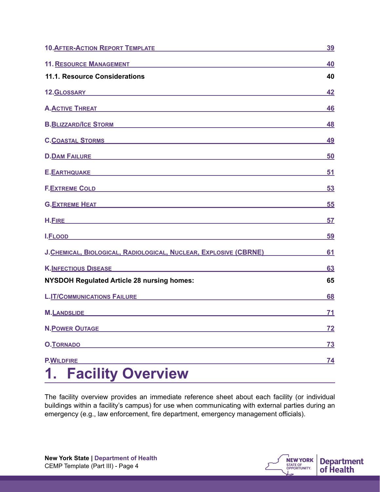| 10. AFTER-ACTION REPORT TEMPLATE                                                                                                                                                                                                     | <u>39</u> |
|--------------------------------------------------------------------------------------------------------------------------------------------------------------------------------------------------------------------------------------|-----------|
| 11. RESOURCE MANAGEMENT <b>Annual Structure Community Community</b>                                                                                                                                                                  | 40        |
| 11.1. Resource Considerations                                                                                                                                                                                                        | 40        |
| 12.GLOSSARY <b>2.8 August 2.5 August 2.5 August 2.6 August 2.6 August 2.6 August 2.6 August 2.6 August 2.6 August 2.6 August 2.7 August 2.7 August 2.7 August 2.7 August 2.7 August 2.7 August 2.7 August 2.7 August 2.7 August </b> | 42        |
| A. <u>ACTIVE THREAT And the series of the series of the series of the series of the series of the series of the series of the series of the series of the series of the series of the series of the series of the series of the </u> | 46        |
| B.BLIZZARD/ICE STORM NATIONAL PROPERTY OF A STATE OF A STATE OF A STATE OF A STATE OF A STATE OF A STATE OF A                                                                                                                        | 48        |
| C.COASTAL STORMS CONTROL CONTROL CONTROL CONTROL CONTROL CONTROL CONTROL CONTROL CONTROL CONTROL CONTROL CONTROL CONTROL CONTROL CONTROL CONTROL CONTROL CONTROL CONTROL CONTROL CONTROL CONTROL CONTROL CONTROL CONTROL CONTR       | <u>49</u> |
| D. <u>DAM FAILURE Experience</u>                                                                                                                                                                                                     | 50        |
|                                                                                                                                                                                                                                      | 51        |
| F.EXTREME COLD <b>AND AN INCOLLECT COLD</b>                                                                                                                                                                                          | 53        |
| <b>G.EXTREME HEAT STATES AND RESIDENT AND RESIDENCE AND RESIDENCE AND RESIDENCE AND RESIDENCE AND RESIDENCE AND RESIDENCE AND RESIDENCE AND RESIDENCE AND RESIDENCE AND RESIDENCE AND RESIDENCE AND RESIDENCE AND RESIDENCE AN</b>   | 55        |
|                                                                                                                                                                                                                                      | 57        |
| <u>I.FLOOD And a strategie of the strategie of the strategie of the strategie of the strategie of the strategie of the strategie of the strategie of the strategie of the strategie of the strategie of the strategie of the str</u> | <u>59</u> |
| J.CHEMICAL, BIOLOGICAL, RADIOLOGICAL, NUCLEAR, EXPLOSIVE (CBRNE)                                                                                                                                                                     | 61        |
| <b>K.INFECTIOUS DISEASE AND ARRAIGNMENT CONTROLLER CONTROLLER CONTROLLER CONTROLLER CONTROLLER CONTROLLER CONTROL</b>                                                                                                                | 63        |
| <b>NYSDOH Regulated Article 28 nursing homes:</b>                                                                                                                                                                                    | 65        |
| <u>L.IT/COMMUNICATIONS FAILURENE AND ANNOUNCES AND ANNOUNCES AND ANNOUNCES AND ANNOUNCES AND ANNOUNCES AND ANNOUN</u>                                                                                                                | <b>68</b> |
| <b>M.LANDSLIDE</b><br>the control of the control of the control of the control of the control of the control of                                                                                                                      | 71        |
| <b>N.POWER OUTAGE</b>                                                                                                                                                                                                                | <u>72</u> |
| <b>O.TORNADO</b>                                                                                                                                                                                                                     | <u>73</u> |
| <b>P.WILDFIRE</b>                                                                                                                                                                                                                    | <u>74</u> |
| <b>Facility Overview</b>                                                                                                                                                                                                             |           |

<span id="page-3-0"></span>The facility overview provides an immediate reference sheet about each facility (or individual buildings within a facility's campus) for use when communicating with external parties during an emergency (e.g., law enforcement, fire department, emergency management officials).

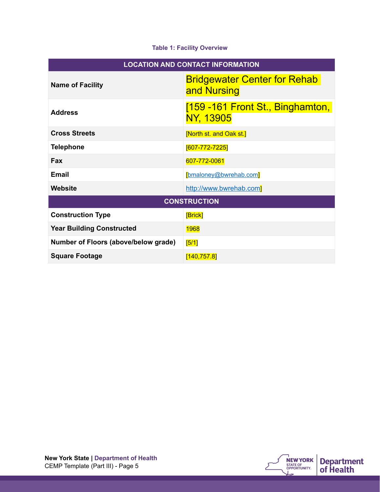#### **Table 1: Facility Overview**

| <b>LOCATION AND CONTACT INFORMATION</b> |                                                    |
|-----------------------------------------|----------------------------------------------------|
| <b>Name of Facility</b>                 | <b>Bridgewater Center for Rehab</b><br>and Nursing |
| <b>Address</b>                          | [159 -161 Front St., Binghamton,<br>NY, 13905      |
| <b>Cross Streets</b>                    | [North st. and Oak st.]                            |
| <b>Telephone</b>                        | [607-772-7225]                                     |
| <b>Fax</b>                              | 607-772-0061                                       |
| Email                                   | [bmaloney@bwrehab.com]                             |
| <b>Website</b>                          | http://www.bwrehab.com]                            |
| <b>CONSTRUCTION</b>                     |                                                    |
| <b>Construction Type</b>                | [Brick]                                            |
| <b>Year Building Constructed</b>        | <b>1968</b>                                        |
| Number of Floors (above/below grade)    | [5/1]                                              |
| <b>Square Footage</b>                   | [140, 757.8]                                       |

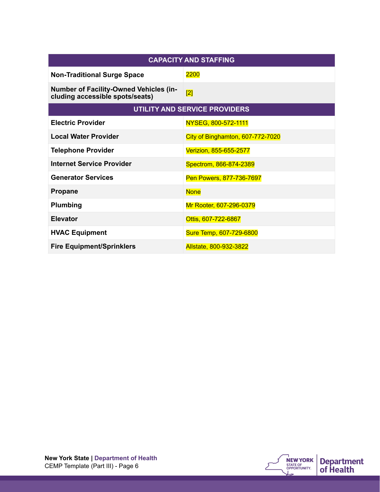| <b>CAPACITY AND STAFFING</b>                                                     |                                      |
|----------------------------------------------------------------------------------|--------------------------------------|
| <b>Non-Traditional Surge Space</b>                                               | 2200                                 |
| <b>Number of Facility-Owned Vehicles (in-</b><br>cluding accessible spots/seats) | [2]                                  |
|                                                                                  | <b>UTILITY AND SERVICE PROVIDERS</b> |
| <b>Electric Provider</b>                                                         | NYSEG, 800-572-1111                  |
| <b>Local Water Provider</b>                                                      | City of Binghamton, 607-772-7020     |
| <b>Telephone Provider</b>                                                        | Verizion, 855-655-2577               |
| <b>Internet Service Provider</b>                                                 | Spectrom, 866-874-2389               |
| <b>Generator Services</b>                                                        | Pen Powers, 877-736-7697             |
| <b>Propane</b>                                                                   | <b>None</b>                          |
| Plumbing                                                                         | Mr Rooter, 607-296-0379              |
| <b>Elevator</b>                                                                  | Ottis, 607-722-6867                  |
| <b>HVAC Equipment</b>                                                            | Sure Temp, 607-729-6800              |
| <b>Fire Equipment/Sprinklers</b>                                                 | Allstate, 800-932-3822               |

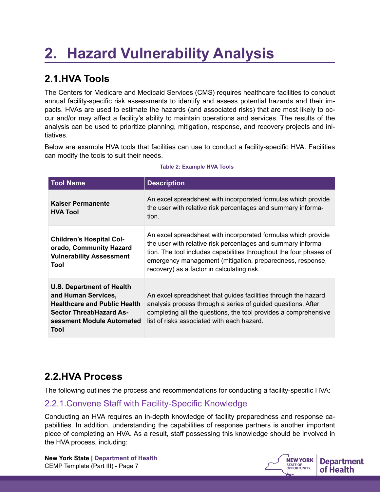## <span id="page-6-0"></span>**2. Hazard Vulnerability Analysis**

## <span id="page-6-1"></span>**2.1.HVA Tools**

The Centers for Medicare and Medicaid Services (CMS) requires healthcare facilities to conduct annual facility-specific risk assessments to identify and assess potential hazards and their impacts. HVAs are used to estimate the hazards (and associated risks) that are most likely to occur and/or may affect a facility's ability to maintain operations and services. The results of the analysis can be used to prioritize planning, mitigation, response, and recovery projects and initiatives.

Below are example HVA tools that facilities can use to conduct a facility-specific HVA. Facilities can modify the tools to suit their needs.

| <b>Tool Name</b>                                                                                                                                                       | <b>Description</b>                                                                                                                                                                                                                                                                                             |
|------------------------------------------------------------------------------------------------------------------------------------------------------------------------|----------------------------------------------------------------------------------------------------------------------------------------------------------------------------------------------------------------------------------------------------------------------------------------------------------------|
| <b>Kaiser Permanente</b><br><b>HVA Tool</b>                                                                                                                            | An excel spreadsheet with incorporated formulas which provide<br>the user with relative risk percentages and summary informa-<br>tion.                                                                                                                                                                         |
| <b>Children's Hospital Col-</b><br>orado, Community Hazard<br><b>Vulnerability Assessment</b><br>Tool                                                                  | An excel spreadsheet with incorporated formulas which provide<br>the user with relative risk percentages and summary informa-<br>tion. The tool includes capabilities throughout the four phases of<br>emergency management (mitigation, preparedness, response,<br>recovery) as a factor in calculating risk. |
| <b>U.S. Department of Health</b><br>and Human Services,<br><b>Healthcare and Public Health</b><br><b>Sector Threat/Hazard As-</b><br>sessment Module Automated<br>Tool | An excel spreadsheet that guides facilities through the hazard<br>analysis process through a series of guided questions. After<br>completing all the questions, the tool provides a comprehensive<br>list of risks associated with each hazard.                                                                |

#### **Table 2: Example HVA Tools**

### <span id="page-6-2"></span>**2.2.HVA Process**

The following outlines the process and recommendations for conducting a facility-specific HVA:

### <span id="page-6-3"></span>2.2.1.Convene Staff with Facility-Specific Knowledge

Conducting an HVA requires an in-depth knowledge of facility preparedness and response capabilities. In addition, understanding the capabilities of response partners is another important piece of completing an HVA. As a result, staff possessing this knowledge should be involved in the HVA process, including:



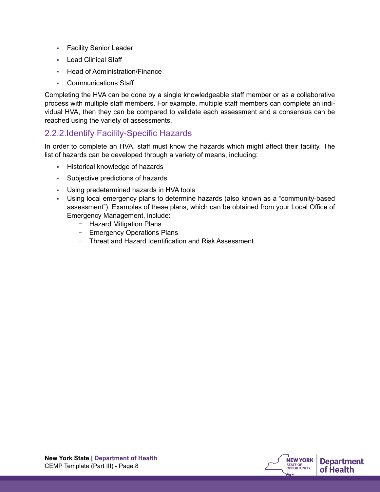- **Facility Senior Leader**
- Lead Clinical Staff
- Head of Administration/Finance
- Communications Staff

Completing the HVA can be done by a single knowledgeable staff member or as a collaborative process with multiple staff members. For example, multiple staff members can complete an individual HVA, then they can be compared to validate each assessment and a consensus can be reached using the variety of assessments.

#### <span id="page-7-0"></span>2.2.2.Identify Facility-Specific Hazards

In order to complete an HVA, staff must know the hazards which might affect their facility. The list of hazards can be developed through a variety of means, including:

- Historical knowledge of hazards
- Subjective predictions of hazards
- Using predetermined hazards in HVA tools
- Using local emergency plans to determine hazards (also known as a "community-based assessment"). Examples of these plans, which can be obtained from your Local Office of Emergency Management, include:
	- Hazard Mitigation Plans
	- Emergency Operations Plans
	- Threat and Hazard Identification and Risk Assessment

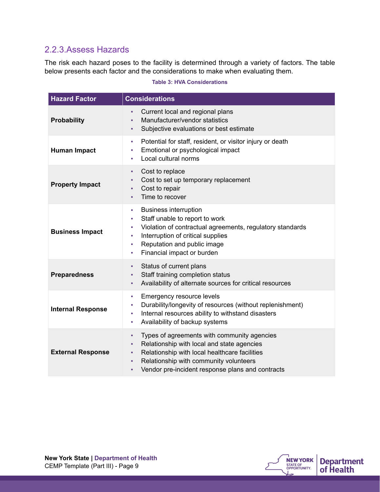### <span id="page-8-0"></span>2.2.3.Assess Hazards

The risk each hazard poses to the facility is determined through a variety of factors. The table below presents each factor and the considerations to make when evaluating them.

#### **Table 3: HVA Considerations**

| <b>Hazard Factor</b>     | <b>Considerations</b>                                                                                                                                                                                                                                              |
|--------------------------|--------------------------------------------------------------------------------------------------------------------------------------------------------------------------------------------------------------------------------------------------------------------|
| <b>Probability</b>       | Current local and regional plans<br>à.<br>Manufacturer/vendor statistics<br>٠<br>Subjective evaluations or best estimate<br>٠                                                                                                                                      |
| <b>Human Impact</b>      | Potential for staff, resident, or visitor injury or death<br>×.<br>Emotional or psychological impact<br>T,<br>Local cultural norms<br>٠                                                                                                                            |
| <b>Property Impact</b>   | Cost to replace<br>٠<br>Cost to set up temporary replacement<br>٠<br>Cost to repair<br>٠<br>Time to recover<br>٠                                                                                                                                                   |
| <b>Business Impact</b>   | <b>Business interruption</b><br>×<br>Staff unable to report to work<br>٠<br>Violation of contractual agreements, regulatory standards<br>٠<br>Interruption of critical supplies<br>٠<br>Reputation and public image<br>٠<br>Financial impact or burden<br>×.       |
| <b>Preparedness</b>      | Status of current plans<br>٠<br>Staff training completion status<br>٠<br>Availability of alternate sources for critical resources<br>٠                                                                                                                             |
| <b>Internal Response</b> | Emergency resource levels<br>ш<br>Durability/longevity of resources (without replenishment)<br>٠<br>Internal resources ability to withstand disasters<br>×,<br>Availability of backup systems<br>٠                                                                 |
| <b>External Response</b> | Types of agreements with community agencies<br>٠<br>Relationship with local and state agencies<br>×,<br>Relationship with local healthcare facilities<br>٠<br>Relationship with community volunteers<br>٠<br>Vendor pre-incident response plans and contracts<br>٠ |

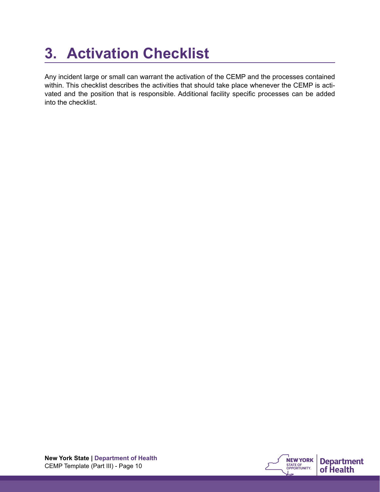## <span id="page-9-0"></span>**3. Activation Checklist**

Any incident large or small can warrant the activation of the CEMP and the processes contained within. This checklist describes the activities that should take place whenever the CEMP is activated and the position that is responsible. Additional facility specific processes can be added into the checklist.

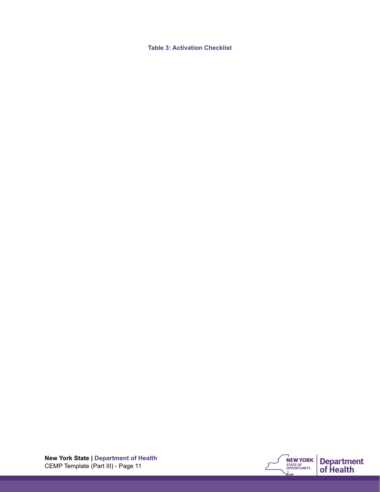**Table 3: Activation Checklist** 

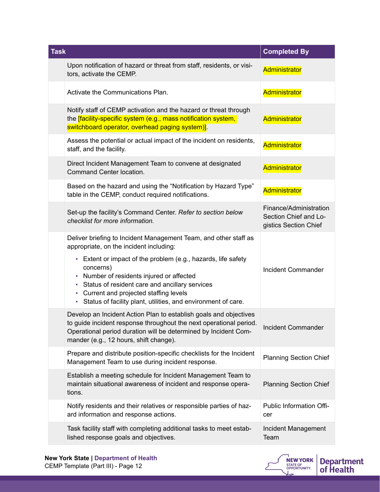| <b>Task</b>                                                                                                                                                                                                                                                                                                                                                                                              | <b>Completed By</b>                                                      |
|----------------------------------------------------------------------------------------------------------------------------------------------------------------------------------------------------------------------------------------------------------------------------------------------------------------------------------------------------------------------------------------------------------|--------------------------------------------------------------------------|
| Upon notification of hazard or threat from staff, residents, or visi-<br>tors, activate the CEMP.                                                                                                                                                                                                                                                                                                        | Administrator                                                            |
| Activate the Communications Plan.                                                                                                                                                                                                                                                                                                                                                                        | Administrator                                                            |
| Notify staff of CEMP activation and the hazard or threat through<br>the <i>[facility-specific system (e.g., mass notification system,</i><br>switchboard operator, overhead paging system)].                                                                                                                                                                                                             | Administrator                                                            |
| Assess the potential or actual impact of the incident on residents,<br>staff, and the facility.                                                                                                                                                                                                                                                                                                          | Administrator                                                            |
| Direct Incident Management Team to convene at designated<br>Command Center location.                                                                                                                                                                                                                                                                                                                     | Administrator                                                            |
| Based on the hazard and using the "Notification by Hazard Type"<br>table in the CEMP, conduct required notifications.                                                                                                                                                                                                                                                                                    | Administrator                                                            |
| Set-up the facility's Command Center. Refer to section below<br>checklist for more information.                                                                                                                                                                                                                                                                                                          | Finance/Administration<br>Section Chief and Lo-<br>gistics Section Chief |
| Deliver briefing to Incident Management Team, and other staff as<br>appropriate, on the incident including:<br>- Extent or impact of the problem (e.g., hazards, life safety<br>concerns)<br>• Number of residents injured or affected<br>• Status of resident care and ancillary services<br>• Current and projected staffing levels<br>- Status of facility plant, utilities, and environment of care. | <b>Incident Commander</b>                                                |
| Develop an Incident Action Plan to establish goals and objectives<br>to guide incident response throughout the next operational period.<br>Operational period duration will be determined by Incident Com-<br>mander (e.g., 12 hours, shift change).                                                                                                                                                     | <b>Incident Commander</b>                                                |
| Prepare and distribute position-specific checklists for the Incident<br>Management Team to use during incident response.                                                                                                                                                                                                                                                                                 | <b>Planning Section Chief</b>                                            |
| Establish a meeting schedule for Incident Management Team to<br>maintain situational awareness of incident and response opera-<br>tions.                                                                                                                                                                                                                                                                 | <b>Planning Section Chief</b>                                            |
| Notify residents and their relatives or responsible parties of haz-<br>ard information and response actions.                                                                                                                                                                                                                                                                                             | Public Information Offi-<br>cer                                          |
| Task facility staff with completing additional tasks to meet estab-<br>lished response goals and objectives.                                                                                                                                                                                                                                                                                             | Incident Management<br>Team                                              |



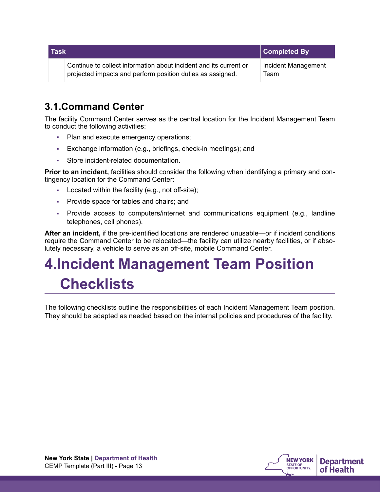| <b>Task</b> |                                                                                                                                 | <b>Completed By</b>         |
|-------------|---------------------------------------------------------------------------------------------------------------------------------|-----------------------------|
|             | Continue to collect information about incident and its current or<br>projected impacts and perform position duties as assigned. | Incident Management<br>Team |

## <span id="page-12-0"></span>**3.1.Command Center**

The facility Command Center serves as the central location for the Incident Management Team to conduct the following activities:

- **Plan and execute emergency operations;**
- **Exchange information (e.g., briefings, check-in meetings); and**
- Store incident-related documentation.

**Prior to an incident,** facilities should consider the following when identifying a primary and contingency location for the Command Center:

- **EXEC** 2. Located within the facility (e.g., not off-site);
- Provide space for tables and chairs; and
- Provide access to computers/internet and communications equipment (e.g., landline telephones, cell phones).

**After an incident,** if the pre-identified locations are rendered unusable—or if incident conditions require the Command Center to be relocated—the facility can utilize nearby facilities, or if absolutely necessary, a vehicle to serve as an off-site, mobile Command Center.

## <span id="page-12-1"></span>**4.Incident Management Team Position Checklists**

The following checklists outline the responsibilities of each Incident Management Team position. They should be adapted as needed based on the internal policies and procedures of the facility.

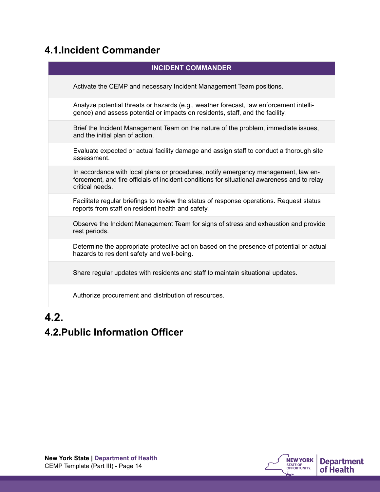## <span id="page-13-0"></span>**4.1.Incident Commander**

| <b>INCIDENT COMMANDER</b>                                                                                                                                                                            |
|------------------------------------------------------------------------------------------------------------------------------------------------------------------------------------------------------|
| Activate the CEMP and necessary Incident Management Team positions.                                                                                                                                  |
| Analyze potential threats or hazards (e.g., weather forecast, law enforcement intelli-<br>gence) and assess potential or impacts on residents, staff, and the facility.                              |
| Brief the Incident Management Team on the nature of the problem, immediate issues,<br>and the initial plan of action.                                                                                |
| Evaluate expected or actual facility damage and assign staff to conduct a thorough site<br>assessment.                                                                                               |
| In accordance with local plans or procedures, notify emergency management, law en-<br>forcement, and fire officials of incident conditions for situational awareness and to relay<br>critical needs. |
| Facilitate regular briefings to review the status of response operations. Request status<br>reports from staff on resident health and safety.                                                        |
| Observe the Incident Management Team for signs of stress and exhaustion and provide<br>rest periods.                                                                                                 |
| Determine the appropriate protective action based on the presence of potential or actual<br>hazards to resident safety and well-being.                                                               |
| Share regular updates with residents and staff to maintain situational updates.                                                                                                                      |
| Authorize procurement and distribution of resources.                                                                                                                                                 |

## **4.2.**

## <span id="page-13-1"></span>**4.2.Public Information Officer**

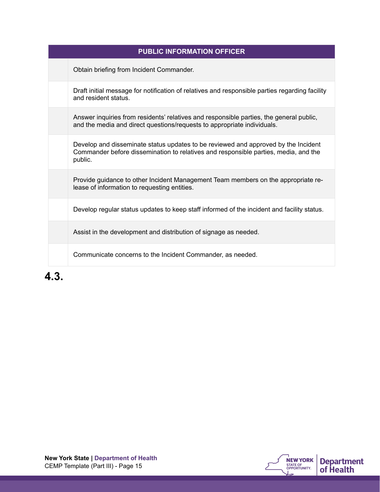| <b>PUBLIC INFORMATION OFFICER</b>                                                                                                                                                    |
|--------------------------------------------------------------------------------------------------------------------------------------------------------------------------------------|
| Obtain briefing from Incident Commander.                                                                                                                                             |
| Draft initial message for notification of relatives and responsible parties regarding facility<br>and resident status.                                                               |
| Answer inquiries from residents' relatives and responsible parties, the general public,<br>and the media and direct questions/requests to appropriate individuals.                   |
| Develop and disseminate status updates to be reviewed and approved by the Incident<br>Commander before dissemination to relatives and responsible parties, media, and the<br>public. |
| Provide guidance to other Incident Management Team members on the appropriate re-<br>lease of information to requesting entities.                                                    |
| Develop regular status updates to keep staff informed of the incident and facility status.                                                                                           |
| Assist in the development and distribution of signage as needed.                                                                                                                     |
| Communicate concerns to the Incident Commander, as needed.                                                                                                                           |
|                                                                                                                                                                                      |

**4.3.**

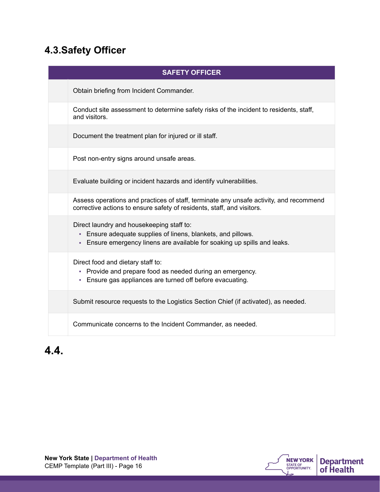## <span id="page-15-0"></span>**4.3.Safety Officer**

| <b>SAFETY OFFICER</b>                                                                                                                                                               |
|-------------------------------------------------------------------------------------------------------------------------------------------------------------------------------------|
| Obtain briefing from Incident Commander.                                                                                                                                            |
| Conduct site assessment to determine safety risks of the incident to residents, staff,<br>and visitors.                                                                             |
| Document the treatment plan for injured or ill staff.                                                                                                                               |
| Post non-entry signs around unsafe areas.                                                                                                                                           |
| Evaluate building or incident hazards and identify vulnerabilities.                                                                                                                 |
| Assess operations and practices of staff, terminate any unsafe activity, and recommend<br>corrective actions to ensure safety of residents, staff, and visitors.                    |
| Direct laundry and housekeeping staff to:<br>- Ensure adequate supplies of linens, blankets, and pillows.<br>Ensure emergency linens are available for soaking up spills and leaks. |
| Direct food and dietary staff to:<br>• Provide and prepare food as needed during an emergency.<br>- Ensure gas appliances are turned off before evacuating.                         |
| Submit resource requests to the Logistics Section Chief (if activated), as needed.                                                                                                  |
| Communicate concerns to the Incident Commander, as needed.                                                                                                                          |

## **4.4.**

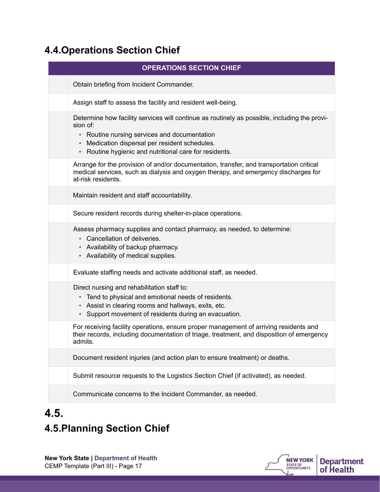## <span id="page-16-0"></span>**4.4.Operations Section Chief**

| <b>OPERATIONS SECTION CHIEF</b>                                                                                                                                                                                                                                               |
|-------------------------------------------------------------------------------------------------------------------------------------------------------------------------------------------------------------------------------------------------------------------------------|
| Obtain briefing from Incident Commander.                                                                                                                                                                                                                                      |
| Assign staff to assess the facility and resident well-being.                                                                                                                                                                                                                  |
| Determine how facility services will continue as routinely as possible, including the provi-<br>sion of:<br>Routine nursing services and documentation<br>٠<br>Medication dispersal per resident schedules.<br>٠<br>Routine hygienic and nutritional care for residents.<br>٠ |
| Arrange for the provision of and/or documentation, transfer, and transportation critical<br>medical services, such as dialysis and oxygen therapy, and emergency discharges for<br>at-risk residents.                                                                         |
| Maintain resident and staff accountability.                                                                                                                                                                                                                                   |
| Secure resident records during shelter-in-place operations.                                                                                                                                                                                                                   |
| Assess pharmacy supplies and contact pharmacy, as needed, to determine:<br>• Cancellation of deliveries.<br>- Availability of backup pharmacy.<br>- Availability of medical supplies.                                                                                         |
| Evaluate staffing needs and activate additional staff, as needed.                                                                                                                                                                                                             |
| Direct nursing and rehabilitation staff to:<br>Tend to physical and emotional needs of residents.<br>٠<br>Assist in clearing rooms and hallways, exits, etc.<br>Support movement of residents during an evacuation.<br>٠                                                      |
| For receiving facility operations, ensure proper management of arriving residents and<br>their records, including documentation of triage, treatment, and disposition of emergency<br>admits.                                                                                 |
| Document resident injuries (and action plan to ensure treatment) or deaths.                                                                                                                                                                                                   |
| Submit resource requests to the Logistics Section Chief (if activated), as needed.                                                                                                                                                                                            |
| Communicate concerns to the Incident Commander, as needed.                                                                                                                                                                                                                    |

## <span id="page-16-1"></span>**4.5. 4.5.Planning Section Chief**



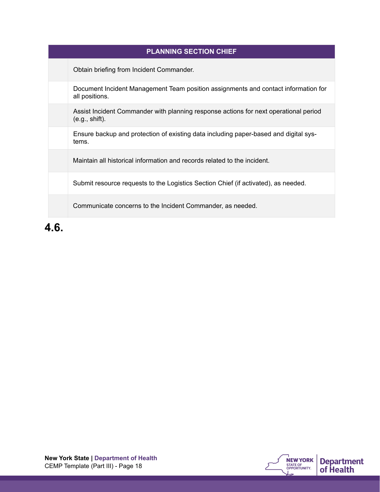| <b>PLANNING SECTION CHIEF</b>                                                                          |
|--------------------------------------------------------------------------------------------------------|
| Obtain briefing from Incident Commander.                                                               |
| Document Incident Management Team position assignments and contact information for<br>all positions.   |
| Assist Incident Commander with planning response actions for next operational period<br>(e.g., shift). |
| Ensure backup and protection of existing data including paper-based and digital sys-<br>tems.          |
| Maintain all historical information and records related to the incident.                               |
| Submit resource requests to the Logistics Section Chief (if activated), as needed.                     |
| Communicate concerns to the Incident Commander, as needed.                                             |

**4.6.**

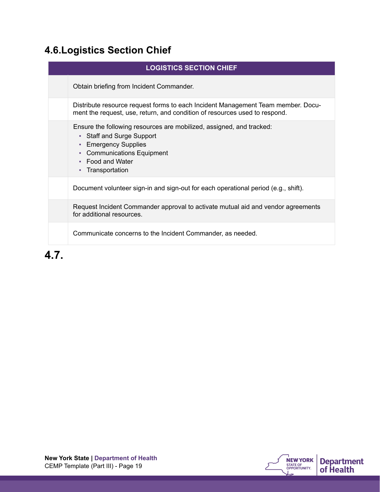## <span id="page-18-0"></span>**4.6.Logistics Section Chief**

| <b>LOGISTICS SECTION CHIEF</b>                                                                                                                                                                  |
|-------------------------------------------------------------------------------------------------------------------------------------------------------------------------------------------------|
| Obtain briefing from Incident Commander.                                                                                                                                                        |
| Distribute resource request forms to each Incident Management Team member. Docu-<br>ment the request, use, return, and condition of resources used to respond.                                  |
| Ensure the following resources are mobilized, assigned, and tracked:<br>• Staff and Surge Support<br>• Emergency Supplies<br>• Communications Equipment<br>• Food and Water<br>• Transportation |
| Document volunteer sign-in and sign-out for each operational period (e.g., shift).                                                                                                              |
| Request Incident Commander approval to activate mutual aid and vendor agreements<br>for additional resources.                                                                                   |
| Communicate concerns to the Incident Commander, as needed.                                                                                                                                      |
|                                                                                                                                                                                                 |

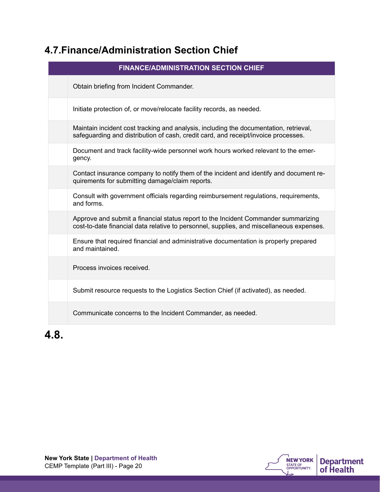## <span id="page-19-0"></span>**4.7.Finance/Administration Section Chief**

| <b>FINANCE/ADMINISTRATION SECTION CHIEF</b> |                                                                                                                                                                                |
|---------------------------------------------|--------------------------------------------------------------------------------------------------------------------------------------------------------------------------------|
|                                             | Obtain briefing from Incident Commander.                                                                                                                                       |
|                                             | Initiate protection of, or move/relocate facility records, as needed.                                                                                                          |
|                                             | Maintain incident cost tracking and analysis, including the documentation, retrieval,<br>safeguarding and distribution of cash, credit card, and receipt/invoice processes.    |
|                                             | Document and track facility-wide personnel work hours worked relevant to the emer-<br>gency.                                                                                   |
|                                             | Contact insurance company to notify them of the incident and identify and document re-<br>quirements for submitting damage/claim reports.                                      |
|                                             | Consult with government officials regarding reimbursement regulations, requirements,<br>and forms.                                                                             |
|                                             | Approve and submit a financial status report to the Incident Commander summarizing<br>cost-to-date financial data relative to personnel, supplies, and miscellaneous expenses. |
|                                             | Ensure that required financial and administrative documentation is properly prepared<br>and maintained.                                                                        |
|                                             | Process invoices received.                                                                                                                                                     |
|                                             | Submit resource requests to the Logistics Section Chief (if activated), as needed.                                                                                             |
|                                             | Communicate concerns to the Incident Commander, as needed.                                                                                                                     |

**4.8.**

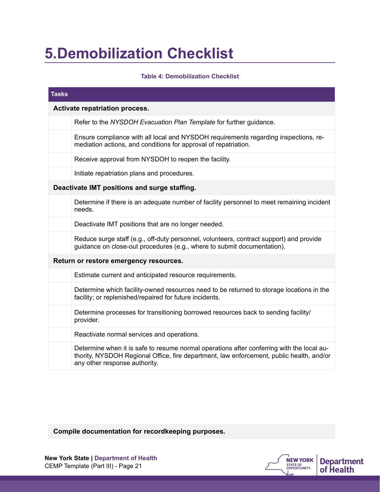## <span id="page-20-0"></span>**5.Demobilization Checklist**

#### **Table 4: Demobilization Checklist**

| <b>Tasks</b>                   |                                                                                                                                                                                                                        |
|--------------------------------|------------------------------------------------------------------------------------------------------------------------------------------------------------------------------------------------------------------------|
| Activate repatriation process. |                                                                                                                                                                                                                        |
|                                | Refer to the NYSDOH Evacuation Plan Template for further guidance.                                                                                                                                                     |
|                                | Ensure compliance with all local and NYSDOH requirements regarding inspections, re-<br>mediation actions, and conditions for approval of repatriation.                                                                 |
|                                | Receive approval from NYSDOH to reopen the facility.                                                                                                                                                                   |
|                                | Initiate repatriation plans and procedures.                                                                                                                                                                            |
|                                | Deactivate IMT positions and surge staffing.                                                                                                                                                                           |
|                                | Determine if there is an adequate number of facility personnel to meet remaining incident<br>needs.                                                                                                                    |
|                                | Deactivate IMT positions that are no longer needed.                                                                                                                                                                    |
|                                | Reduce surge staff (e.g., off-duty personnel, volunteers, contract support) and provide<br>guidance on close-out procedures (e.g., where to submit documentation).                                                     |
|                                | Return or restore emergency resources.                                                                                                                                                                                 |
|                                | Estimate current and anticipated resource requirements.                                                                                                                                                                |
|                                | Determine which facility-owned resources need to be returned to storage locations in the<br>facility; or replenished/repaired for future incidents.                                                                    |
|                                | Determine processes for transitioning borrowed resources back to sending facility/<br>provider.                                                                                                                        |
|                                | Reactivate normal services and operations.                                                                                                                                                                             |
|                                | Determine when it is safe to resume normal operations after conferring with the local au-<br>thority, NYSDOH Regional Office, fire department, law enforcement, public health, and/or<br>any other response authority. |

**Compile documentation for recordkeeping purposes.**

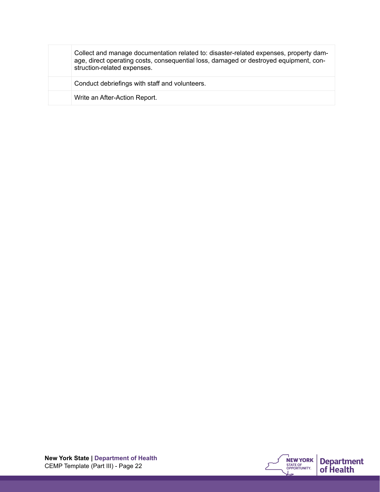Collect and manage documentation related to: disaster-related expenses, property damage, direct operating costs, consequential loss, damaged or destroyed equipment, construction-related expenses. Conduct debriefings with staff and volunteers. Write an After-Action Report.

**New York State | Department of Health** CEMP Template (Part III) - Page 22

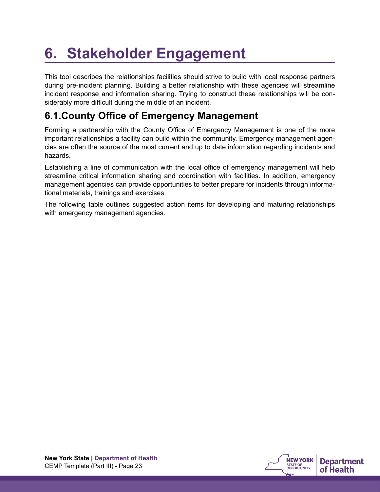## <span id="page-22-0"></span>**6. Stakeholder Engagement**

This tool describes the relationships facilities should strive to build with local response partners during pre-incident planning. Building a better relationship with these agencies will streamline incident response and information sharing. Trying to construct these relationships will be considerably more difficult during the middle of an incident.

## <span id="page-22-1"></span>**6.1.County Office of Emergency Management**

Forming a partnership with the County Office of Emergency Management is one of the more important relationships a facility can build within the community. Emergency management agencies are often the source of the most current and up to date information regarding incidents and hazards.

Establishing a line of communication with the local office of emergency management will help streamline critical information sharing and coordination with facilities. In addition, emergency management agencies can provide opportunities to better prepare for incidents through informational materials, trainings and exercises.

The following table outlines suggested action items for developing and maturing relationships with emergency management agencies.

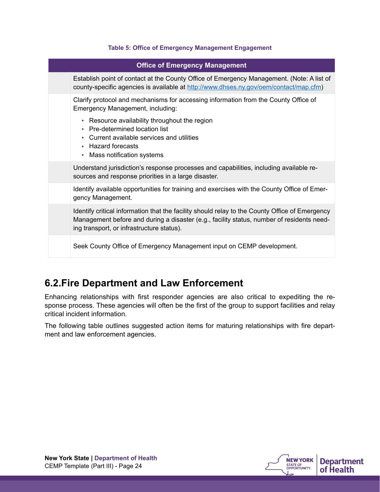#### **Table 5: Office of Emergency Management Engagement**

| <b>Office of Emergency Management</b>                                                                                                                                                                                                    |  |
|------------------------------------------------------------------------------------------------------------------------------------------------------------------------------------------------------------------------------------------|--|
| Establish point of contact at the County Office of Emergency Management. (Note: A list of<br>county-specific agencies is available at http://www.dhses.ny.gov/oem/contact/map.cfm)                                                       |  |
| Clarify protocol and mechanisms for accessing information from the County Office of<br>Emergency Management, including:                                                                                                                  |  |
| • Resource availability throughout the region<br>• Pre-determined location list<br>• Current available services and utilities<br>• Hazard forecasts<br>• Mass notification systems                                                       |  |
| Understand jurisdiction's response processes and capabilities, including available re-<br>sources and response priorities in a large disaster.                                                                                           |  |
| Identify available opportunities for training and exercises with the County Office of Emer-<br>gency Management.                                                                                                                         |  |
| Identify critical information that the facility should relay to the County Office of Emergency<br>Management before and during a disaster (e.g., facility status, number of residents need-<br>ing transport, or infrastructure status). |  |
| Seek County Office of Emergency Management input on CEMP development.                                                                                                                                                                    |  |

### <span id="page-23-0"></span>**6.2.Fire Department and Law Enforcement**

Enhancing relationships with first responder agencies are also critical to expediting the response process. These agencies will often be the first of the group to support facilities and relay critical incident information.

The following table outlines suggested action items for maturing relationships with fire department and law enforcement agencies.

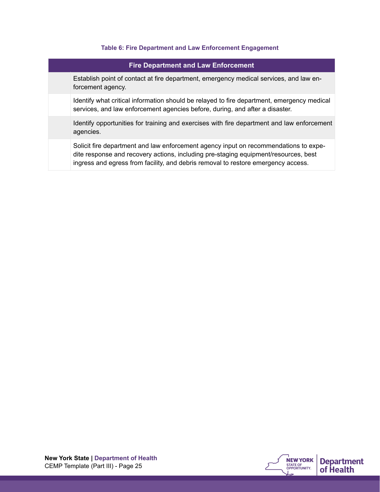#### **Table 6: Fire Department and Law Enforcement Engagement**

| <b>Fire Department and Law Enforcement</b> |                                                                                                                                                                                                                                                                  |
|--------------------------------------------|------------------------------------------------------------------------------------------------------------------------------------------------------------------------------------------------------------------------------------------------------------------|
|                                            | Establish point of contact at fire department, emergency medical services, and law en-<br>forcement agency.                                                                                                                                                      |
|                                            | Identify what critical information should be relayed to fire department, emergency medical<br>services, and law enforcement agencies before, during, and after a disaster.                                                                                       |
|                                            | Identify opportunities for training and exercises with fire department and law enforcement<br>agencies.                                                                                                                                                          |
|                                            | Solicit fire department and law enforcement agency input on recommendations to expe-<br>dite response and recovery actions, including pre-staging equipment/resources, best<br>ingress and egress from facility, and debris removal to restore emergency access. |

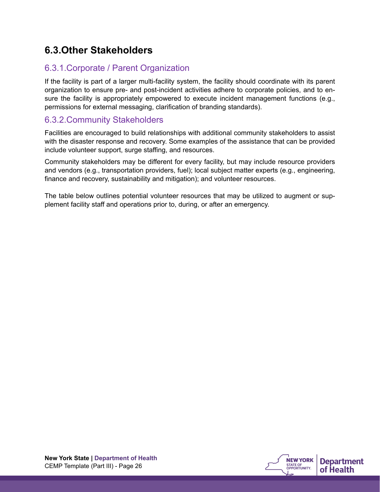## <span id="page-25-0"></span>**6.3.Other Stakeholders**

### <span id="page-25-1"></span>6.3.1.Corporate / Parent Organization

If the facility is part of a larger multi-facility system, the facility should coordinate with its parent organization to ensure pre- and post-incident activities adhere to corporate policies, and to ensure the facility is appropriately empowered to execute incident management functions (e.g., permissions for external messaging, clarification of branding standards).

#### <span id="page-25-2"></span>6.3.2.Community Stakeholders

Facilities are encouraged to build relationships with additional community stakeholders to assist with the disaster response and recovery. Some examples of the assistance that can be provided include volunteer support, surge staffing, and resources.

Community stakeholders may be different for every facility, but may include resource providers and vendors (e.g., transportation providers, fuel); local subject matter experts (e.g., engineering, finance and recovery, sustainability and mitigation); and volunteer resources.

The table below outlines potential volunteer resources that may be utilized to augment or supplement facility staff and operations prior to, during, or after an emergency.

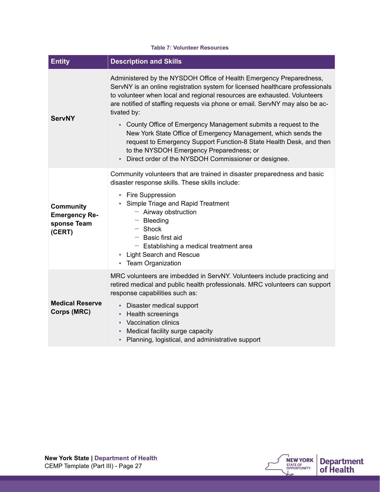#### **Table 7: Volunteer Resources**

| <b>Entity</b>                                                     | <b>Description and Skills</b>                                                                                                                                                                                                                                                                                                                                                                                                                                                                                                                                                                                                                      |
|-------------------------------------------------------------------|----------------------------------------------------------------------------------------------------------------------------------------------------------------------------------------------------------------------------------------------------------------------------------------------------------------------------------------------------------------------------------------------------------------------------------------------------------------------------------------------------------------------------------------------------------------------------------------------------------------------------------------------------|
| <b>ServNY</b>                                                     | Administered by the NYSDOH Office of Health Emergency Preparedness,<br>ServNY is an online registration system for licensed healthcare professionals<br>to volunteer when local and regional resources are exhausted. Volunteers<br>are notified of staffing requests via phone or email. ServNY may also be ac-<br>tivated by:<br>- County Office of Emergency Management submits a request to the<br>New York State Office of Emergency Management, which sends the<br>request to Emergency Support Function-8 State Health Desk, and then<br>to the NYSDOH Emergency Preparedness; or<br>- Direct order of the NYSDOH Commissioner or designee. |
| <b>Community</b><br><b>Emergency Re-</b><br>sponse Team<br>(CERT) | Community volunteers that are trained in disaster preparedness and basic<br>disaster response skills. These skills include:<br>• Fire Suppression<br>• Simple Triage and Rapid Treatment<br>$-$ Airway obstruction<br>$-$ Bleeding<br>$-$ Shock<br>$-$ Basic first aid<br>$-$ Establishing a medical treatment area<br><b>Light Search and Rescue</b><br>٠<br><b>Team Organization</b><br>٠.                                                                                                                                                                                                                                                       |
| <b>Medical Reserve</b><br>Corps (MRC)                             | MRC volunteers are imbedded in ServNY. Volunteers include practicing and<br>retired medical and public health professionals. MRC volunteers can support<br>response capabilities such as:<br>• Disaster medical support<br>• Health screenings<br>• Vaccination clinics<br>Medical facility surge capacity<br>- Planning, logistical, and administrative support                                                                                                                                                                                                                                                                                   |

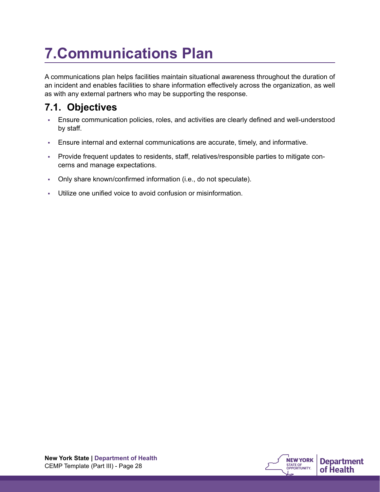## <span id="page-27-0"></span>**7.Communications Plan**

A communications plan helps facilities maintain situational awareness throughout the duration of an incident and enables facilities to share information effectively across the organization, as well as with any external partners who may be supporting the response.

## <span id="page-27-1"></span>**7.1. Objectives**

- Ensure communication policies, roles, and activities are clearly defined and well-understood by staff.
- Ensure internal and external communications are accurate, timely, and informative.
- Provide frequent updates to residents, staff, relatives/responsible parties to mitigate concerns and manage expectations.
- Only share known/confirmed information (i.e., do not speculate).
- Utilize one unified voice to avoid confusion or misinformation.

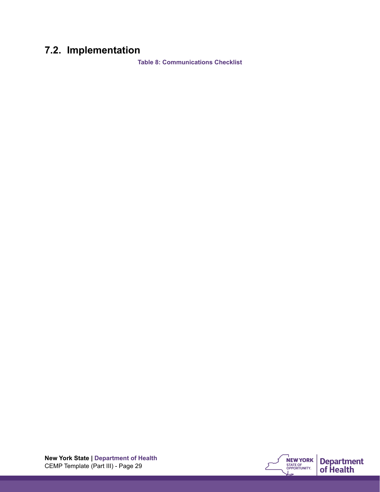## <span id="page-28-0"></span>**7.2. Implementation**

**Table 8: Communications Checklist** 

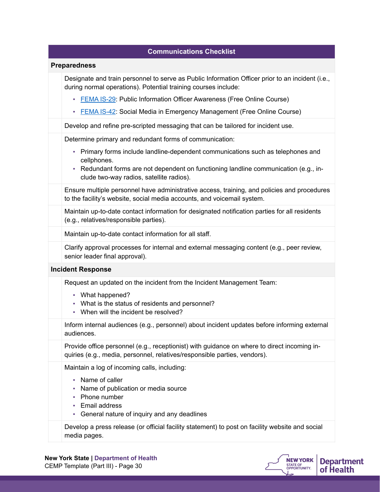| <b>Communications Checklist</b>                                                                                                                                          |
|--------------------------------------------------------------------------------------------------------------------------------------------------------------------------|
| <b>Preparedness</b>                                                                                                                                                      |
| Designate and train personnel to serve as Public Information Officer prior to an incident (i.e.,<br>during normal operations). Potential training courses include:       |
| • FEMA IS-29: Public Information Officer Awareness (Free Online Course)                                                                                                  |
| <b>ELMA IS-42: Social Media in Emergency Management (Free Online Course)</b>                                                                                             |
| Develop and refine pre-scripted messaging that can be tailored for incident use.                                                                                         |
| Determine primary and redundant forms of communication:                                                                                                                  |
| - Primary forms include landline-dependent communications such as telephones and<br>cellphones.                                                                          |
| - Redundant forms are not dependent on functioning landline communication (e.g., in-<br>clude two-way radios, satellite radios).                                         |
| Ensure multiple personnel have administrative access, training, and policies and procedures<br>to the facility's website, social media accounts, and voicemail system.   |
| Maintain up-to-date contact information for designated notification parties for all residents<br>(e.g., relatives/responsible parties).                                  |
| Maintain up-to-date contact information for all staff.                                                                                                                   |
| Clarify approval processes for internal and external messaging content (e.g., peer review,<br>senior leader final approval).                                             |
| <b>Incident Response</b>                                                                                                                                                 |
| Request an updated on the incident from the Incident Management Team:                                                                                                    |
| • What happened?<br>• What is the status of residents and personnel?<br>• When will the incident be resolved?                                                            |
| Inform internal audiences (e.g., personnel) about incident updates before informing external<br>audiences.                                                               |
| Provide office personnel (e.g., receptionist) with guidance on where to direct incoming in-<br>quiries (e.g., media, personnel, relatives/responsible parties, vendors). |
| Maintain a log of incoming calls, including:                                                                                                                             |
| • Name of caller<br>Name of publication or media source<br>Phone number<br>ш<br>Email address<br>a.<br>• General nature of inquiry and any deadlines                     |
| Develop a press release (or official facility statement) to post on facility website and social<br>media pages.                                                          |

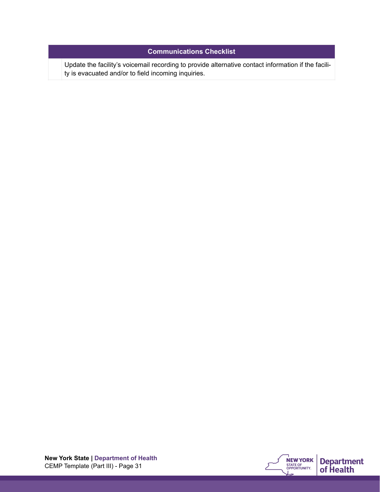#### **Communications Checklist**

Update the facility's voicemail recording to provide alternative contact information if the facility is evacuated and/or to field incoming inquiries.

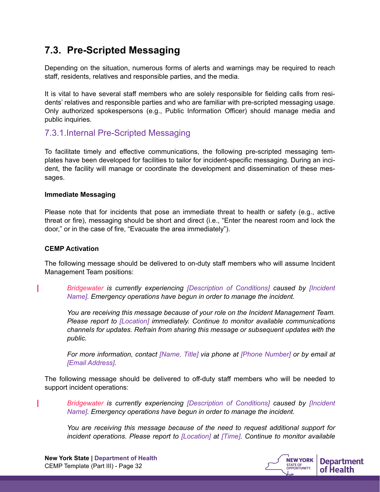### <span id="page-31-0"></span>**7.3. Pre-Scripted Messaging**

Depending on the situation, numerous forms of alerts and warnings may be required to reach staff, residents, relatives and responsible parties, and the media.

It is vital to have several staff members who are solely responsible for fielding calls from residents' relatives and responsible parties and who are familiar with pre-scripted messaging usage. Only authorized spokespersons (e.g., Public Information Officer) should manage media and public inquiries.

#### <span id="page-31-1"></span>7.3.1.Internal Pre-Scripted Messaging

To facilitate timely and effective communications, the following pre-scripted messaging templates have been developed for facilities to tailor for incident-specific messaging. During an incident, the facility will manage or coordinate the development and dissemination of these messages.

#### **Immediate Messaging**

Please note that for incidents that pose an immediate threat to health or safety (e.g., active threat or fire), messaging should be short and direct (i.e., "Enter the nearest room and lock the door," or in the case of fire, "Evacuate the area immediately").

#### **CEMP Activation**

The following message should be delivered to on-duty staff members who will assume Incident Management Team positions:

*Bridgewater is currently experiencing [Description of Conditions] caused by [Incident Name]. Emergency operations have begun in order to manage the incident.* 

*You are receiving this message because of your role on the Incident Management Team. Please report to [Location] immediately. Continue to monitor available communications channels for updates. Refrain from sharing this message or subsequent updates with the public.* 

*For more information, contact [Name, Title] via phone at [Phone Number] or by email at [Email Address].* 

The following message should be delivered to off-duty staff members who will be needed to support incident operations:

*Bridgewater is currently experiencing [Description of Conditions] caused by [Incident Name]. Emergency operations have begun in order to manage the incident.* 

*You are receiving this message because of the need to request additional support for incident operations. Please report to [Location] at [Time]. Continue to monitor available* 

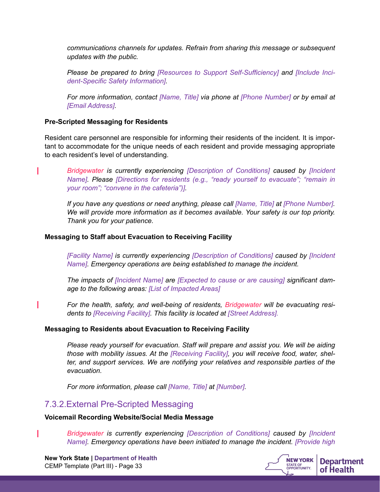*communications channels for updates. Refrain from sharing this message or subsequent updates with the public.* 

*Please be prepared to bring [Resources to Support Self-Sufficiency] and [Include Incident-Specific Safety Information].* 

*For more information, contact [Name, Title] via phone at [Phone Number] or by email at [Email Address].* 

#### **Pre-Scripted Messaging for Residents**

Resident care personnel are responsible for informing their residents of the incident. It is important to accommodate for the unique needs of each resident and provide messaging appropriate to each resident's level of understanding.

*Bridgewater is currently experiencing [Description of Conditions] caused by [Incident Name]. Please [Directions for residents (e.g., "ready yourself to evacuate"; "remain in your room"; "convene in the cafeteria")].* 

*If you have any questions or need anything, please call [Name, Title] at [Phone Number]. We will provide more information as it becomes available. Your safety is our top priority. Thank you for your patience.* 

#### **Messaging to Staff about Evacuation to Receiving Facility**

*[Facility Name] is currently experiencing [Description of Conditions] caused by [Incident Name]. Emergency operations are being established to manage the incident.* 

*The impacts of [Incident Name] are [Expected to cause or are causing] significant damage to the following areas: [List of Impacted Areas]*

*For the health, safety, and well-being of residents, Bridgewater will be evacuating residents to [Receiving Facility]. This facility is located at [Street Address].*

#### **Messaging to Residents about Evacuation to Receiving Facility**

*Please ready yourself for evacuation. Staff will prepare and assist you. We will be aiding those with mobility issues. At the [Receiving Facility], you will receive food, water, shelter, and support services. We are notifying your relatives and responsible parties of the evacuation.* 

<span id="page-32-0"></span>*For more information, please call [Name, Title] at [Number].* 

#### 7.3.2.External Pre-Scripted Messaging

#### **Voicemail Recording Website/Social Media Message**

*Bridgewater is currently experiencing [Description of Conditions] caused by [Incident Name]. Emergency operations have been initiated to manage the incident. [Provide high* 

П

T

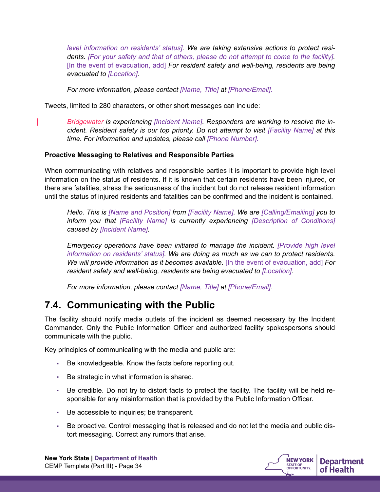*level information on residents' status]. We are taking extensive actions to protect residents. [For your safety and that of others, please do not attempt to come to the facility].*  [In the event of evacuation, add] *For resident safety and well-being, residents are being evacuated to [Location].* 

*For more information, please contact [Name, Title] at [Phone/Email].*

Tweets, limited to 280 characters, or other short messages can include:

*Bridgewater is experiencing [Incident Name]. Responders are working to resolve the incident. Resident safety is our top priority. Do not attempt to visit [Facility Name] at this time. For information and updates, please call [Phone Number].*

#### **Proactive Messaging to Relatives and Responsible Parties**

When communicating with relatives and responsible parties it is important to provide high level information on the status of residents. If it is known that certain residents have been injured, or there are fatalities, stress the seriousness of the incident but do not release resident information until the status of injured residents and fatalities can be confirmed and the incident is contained.

*Hello. This is [Name and Position] from [Facility Name]. We are [Calling/Emailing] you to inform you that [Facility Name] is currently experiencing [Description of Conditions] caused by [Incident Name].* 

*Emergency operations have been initiated to manage the incident. [Provide high level information on residents' status]. We are doing as much as we can to protect residents. We will provide information as it becomes available.* [In the event of evacuation, add] *For resident safety and well-being, residents are being evacuated to [Location].* 

<span id="page-33-0"></span>*For more information, please contact [Name, Title] at [Phone/Email].*

### **7.4. Communicating with the Public**

The facility should notify media outlets of the incident as deemed necessary by the Incident Commander. Only the Public Information Officer and authorized facility spokespersons should communicate with the public.

Key principles of communicating with the media and public are:

- Be knowledgeable. Know the facts before reporting out.
- Be strategic in what information is shared.
- Be credible. Do not try to distort facts to protect the facility. The facility will be held responsible for any misinformation that is provided by the Public Information Officer.
- Be accessible to inquiries; be transparent.
- Be proactive. Control messaging that is released and do not let the media and public distort messaging. Correct any rumors that arise.

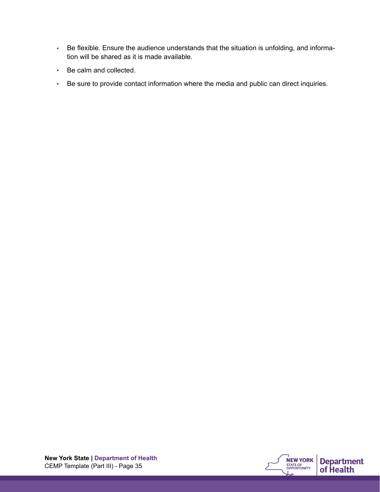- Be flexible. Ensure the audience understands that the situation is unfolding, and information will be shared as it is made available.
- Be calm and collected.
- Be sure to provide contact information where the media and public can direct inquiries.

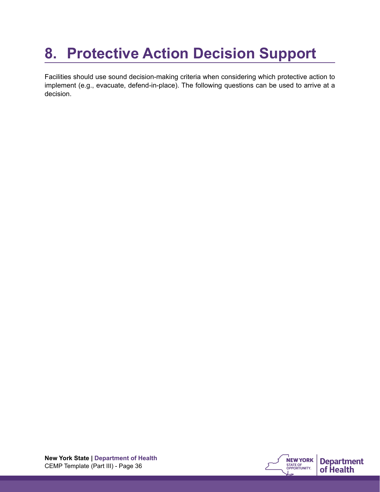## <span id="page-35-0"></span>**8. Protective Action Decision Support**

Facilities should use sound decision-making criteria when considering which protective action to implement (e.g., evacuate, defend-in-place). The following questions can be used to arrive at a decision.

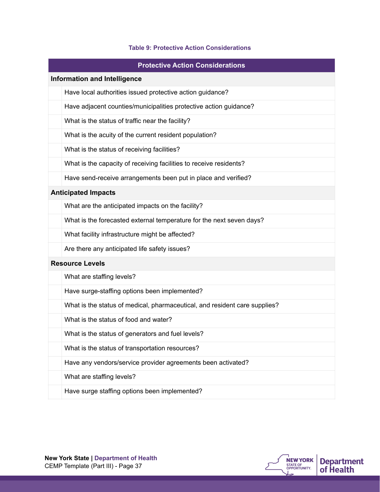#### **Table 9: Protective Action Considerations**

|                                     | <b>Protective Action Considerations</b>                                    |  |  |
|-------------------------------------|----------------------------------------------------------------------------|--|--|
| <b>Information and Intelligence</b> |                                                                            |  |  |
|                                     | Have local authorities issued protective action guidance?                  |  |  |
|                                     | Have adjacent counties/municipalities protective action guidance?          |  |  |
|                                     | What is the status of traffic near the facility?                           |  |  |
|                                     | What is the acuity of the current resident population?                     |  |  |
|                                     | What is the status of receiving facilities?                                |  |  |
|                                     | What is the capacity of receiving facilities to receive residents?         |  |  |
|                                     | Have send-receive arrangements been put in place and verified?             |  |  |
|                                     | <b>Anticipated Impacts</b>                                                 |  |  |
|                                     | What are the anticipated impacts on the facility?                          |  |  |
|                                     | What is the forecasted external temperature for the next seven days?       |  |  |
|                                     | What facility infrastructure might be affected?                            |  |  |
|                                     | Are there any anticipated life safety issues?                              |  |  |
|                                     | <b>Resource Levels</b>                                                     |  |  |
|                                     | What are staffing levels?                                                  |  |  |
|                                     | Have surge-staffing options been implemented?                              |  |  |
|                                     | What is the status of medical, pharmaceutical, and resident care supplies? |  |  |
|                                     | What is the status of food and water?                                      |  |  |
|                                     | What is the status of generators and fuel levels?                          |  |  |
|                                     | What is the status of transportation resources?                            |  |  |
|                                     | Have any vendors/service provider agreements been activated?               |  |  |
|                                     | What are staffing levels?                                                  |  |  |
|                                     | Have surge staffing options been implemented?                              |  |  |

**NEW YORK Department** 

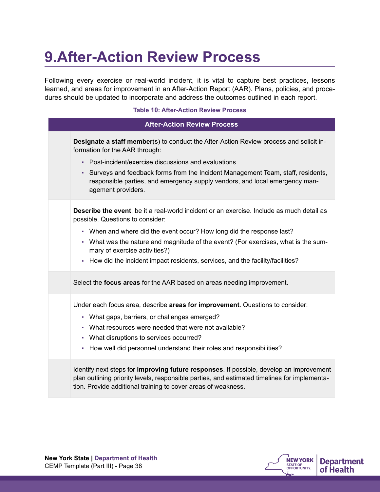## **9.After-Action Review Process**

Following every exercise or real-world incident, it is vital to capture best practices, lessons learned, and areas for improvement in an After-Action Report (AAR). Plans, policies, and procedures should be updated to incorporate and address the outcomes outlined in each report.

#### **Table 10: After-Action Review Process**

| <b>After-Action Review Process</b> |                                                                                                                                                                                                                                                                  |  |
|------------------------------------|------------------------------------------------------------------------------------------------------------------------------------------------------------------------------------------------------------------------------------------------------------------|--|
|                                    | Designate a staff member(s) to conduct the After-Action Review process and solicit in-<br>formation for the AAR through:                                                                                                                                         |  |
|                                    | • Post-incident/exercise discussions and evaluations.                                                                                                                                                                                                            |  |
|                                    | - Surveys and feedback forms from the Incident Management Team, staff, residents,<br>responsible parties, and emergency supply vendors, and local emergency man-<br>agement providers.                                                                           |  |
|                                    | <b>Describe the event</b> , be it a real-world incident or an exercise. Include as much detail as<br>possible. Questions to consider:                                                                                                                            |  |
|                                    | • When and where did the event occur? How long did the response last?                                                                                                                                                                                            |  |
|                                    | - What was the nature and magnitude of the event? (For exercises, what is the sum-<br>mary of exercise activities?)                                                                                                                                              |  |
|                                    | - How did the incident impact residents, services, and the facility/facilities?                                                                                                                                                                                  |  |
|                                    | Select the focus areas for the AAR based on areas needing improvement.                                                                                                                                                                                           |  |
|                                    | Under each focus area, describe areas for improvement. Questions to consider:                                                                                                                                                                                    |  |
|                                    | • What gaps, barriers, or challenges emerged?                                                                                                                                                                                                                    |  |
|                                    | • What resources were needed that were not available?                                                                                                                                                                                                            |  |
|                                    | • What disruptions to services occurred?                                                                                                                                                                                                                         |  |
|                                    | - How well did personnel understand their roles and responsibilities?                                                                                                                                                                                            |  |
|                                    | Identify next steps for <b>improving future responses</b> . If possible, develop an improvement<br>plan outlining priority levels, responsible parties, and estimated timelines for implementa-<br>tion. Provide additional training to cover areas of weakness. |  |
|                                    |                                                                                                                                                                                                                                                                  |  |



**Department** 

of Health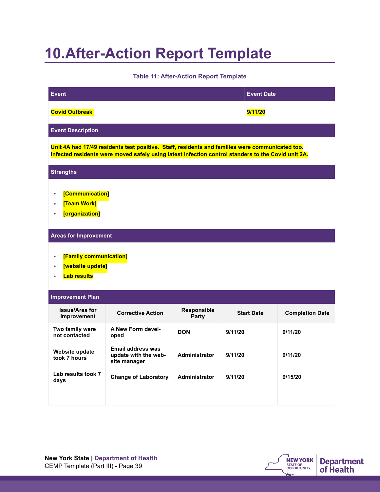### **10.After-Action Report Template**

**Table 11: After-Action Report Template** 

| <b>Event</b>                                                           |                                                                                                                                                                                                       |                      | <b>Event Date</b> |                        |
|------------------------------------------------------------------------|-------------------------------------------------------------------------------------------------------------------------------------------------------------------------------------------------------|----------------------|-------------------|------------------------|
| <b>Covid Outbreak</b>                                                  |                                                                                                                                                                                                       |                      | 9/11/20           |                        |
| <b>Event Description</b>                                               |                                                                                                                                                                                                       |                      |                   |                        |
|                                                                        | Unit 4A had 17/49 residents test positive. Staff, residents and families were communicated too.<br>Infected residents were moved safely using latest infection control standers to the Covid unit 2A. |                      |                   |                        |
| <b>Strengths</b>                                                       |                                                                                                                                                                                                       |                      |                   |                        |
| [Communication]<br>[Team Work]<br>[organization]<br>à,                 |                                                                                                                                                                                                       |                      |                   |                        |
| <b>Areas for Improvement</b>                                           |                                                                                                                                                                                                       |                      |                   |                        |
| [Family communication]<br>à,<br>[website update]<br><b>Lab results</b> |                                                                                                                                                                                                       |                      |                   |                        |
| <b>Improvement Plan</b>                                                |                                                                                                                                                                                                       |                      |                   |                        |
| <b>Issue/Area for</b><br>Improvement                                   | <b>Corrective Action</b>                                                                                                                                                                              | Responsible<br>Party | <b>Start Date</b> | <b>Completion Date</b> |
| Two family were<br>not contacted                                       | A New Form devel-<br>oped                                                                                                                                                                             | <b>DON</b>           | 9/11/20           | 9/11/20                |
| Website update<br>took 7 hours                                         | <b>Email address was</b><br>update with the web-<br>site manager                                                                                                                                      | Administrator        | 9/11/20           | 9/11/20                |
| Lab results took 7<br>days                                             | <b>Change of Laboratory</b>                                                                                                                                                                           | Administrator        | 9/11/20           | 9/15/20                |
|                                                                        |                                                                                                                                                                                                       |                      |                   |                        |

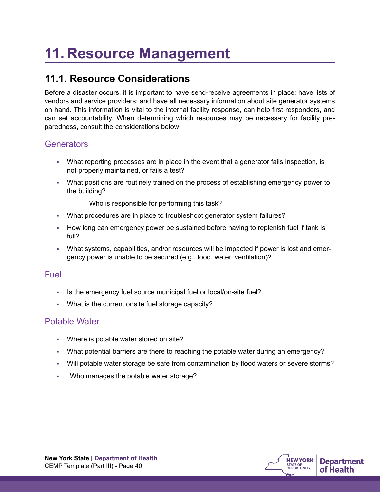## **11. Resource Management**

### **11.1. Resource Considerations**

Before a disaster occurs, it is important to have send-receive agreements in place; have lists of vendors and service providers; and have all necessary information about site generator systems on hand. This information is vital to the internal facility response, can help first responders, and can set accountability. When determining which resources may be necessary for facility preparedness, consult the considerations below:

### **Generators**

- What reporting processes are in place in the event that a generator fails inspection, is not properly maintained, or fails a test?
- What positions are routinely trained on the process of establishing emergency power to the building?
	- Who is responsible for performing this task?
- What procedures are in place to troubleshoot generator system failures?
- How long can emergency power be sustained before having to replenish fuel if tank is full?
- What systems, capabilities, and/or resources will be impacted if power is lost and emergency power is unable to be secured (e.g., food, water, ventilation)?

### **Fuel**

- Is the emergency fuel source municipal fuel or local/on-site fuel?
- What is the current onsite fuel storage capacity?

### Potable Water

- Where is potable water stored on site?
- What potential barriers are there to reaching the potable water during an emergency?
- Will potable water storage be safe from contamination by flood waters or severe storms?
- Who manages the potable water storage?

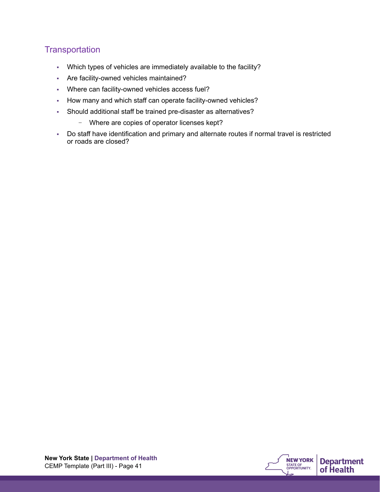### **Transportation**

- Which types of vehicles are immediately available to the facility?
- Are facility-owned vehicles maintained?
- Where can facility-owned vehicles access fuel?
- How many and which staff can operate facility-owned vehicles?
- Should additional staff be trained pre-disaster as alternatives?
	- Where are copies of operator licenses kept?
- Do staff have identification and primary and alternate routes if normal travel is restricted or roads are closed?

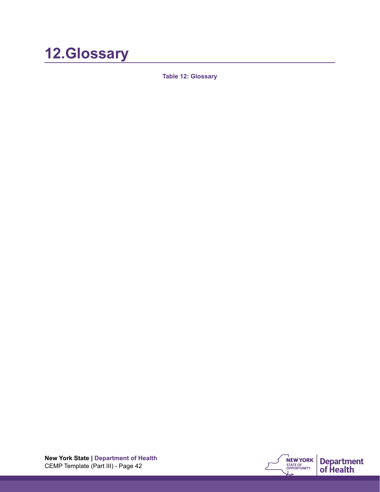### **12.Glossary**

**Table 12: Glossary** 

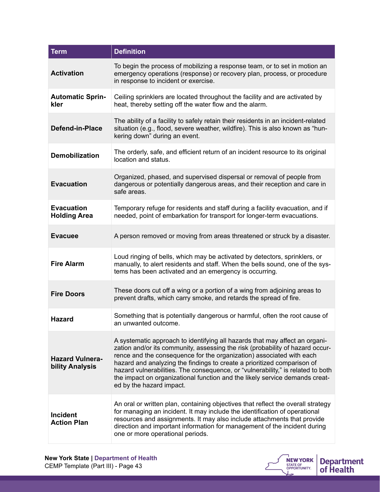| <b>Term</b>                               | <b>Definition</b>                                                                                                                                                                                                                                                                                                                                                                                                                                                                                             |  |  |
|-------------------------------------------|---------------------------------------------------------------------------------------------------------------------------------------------------------------------------------------------------------------------------------------------------------------------------------------------------------------------------------------------------------------------------------------------------------------------------------------------------------------------------------------------------------------|--|--|
| <b>Activation</b>                         | To begin the process of mobilizing a response team, or to set in motion an<br>emergency operations (response) or recovery plan, process, or procedure<br>in response to incident or exercise.                                                                                                                                                                                                                                                                                                                 |  |  |
| <b>Automatic Sprin-</b><br>kler           | Ceiling sprinklers are located throughout the facility and are activated by<br>heat, thereby setting off the water flow and the alarm.                                                                                                                                                                                                                                                                                                                                                                        |  |  |
| Defend-in-Place                           | The ability of a facility to safely retain their residents in an incident-related<br>situation (e.g., flood, severe weather, wildfire). This is also known as "hun-<br>kering down" during an event.                                                                                                                                                                                                                                                                                                          |  |  |
| <b>Demobilization</b>                     | The orderly, safe, and efficient return of an incident resource to its original<br>location and status.                                                                                                                                                                                                                                                                                                                                                                                                       |  |  |
| <b>Evacuation</b>                         | Organized, phased, and supervised dispersal or removal of people from<br>dangerous or potentially dangerous areas, and their reception and care in<br>safe areas.                                                                                                                                                                                                                                                                                                                                             |  |  |
| <b>Evacuation</b><br><b>Holding Area</b>  | Temporary refuge for residents and staff during a facility evacuation, and if<br>needed, point of embarkation for transport for longer-term evacuations.                                                                                                                                                                                                                                                                                                                                                      |  |  |
| <b>Evacuee</b>                            | A person removed or moving from areas threatened or struck by a disaster.                                                                                                                                                                                                                                                                                                                                                                                                                                     |  |  |
| <b>Fire Alarm</b>                         | Loud ringing of bells, which may be activated by detectors, sprinklers, or<br>manually, to alert residents and staff. When the bells sound, one of the sys-<br>tems has been activated and an emergency is occurring.                                                                                                                                                                                                                                                                                         |  |  |
| <b>Fire Doors</b>                         | These doors cut off a wing or a portion of a wing from adjoining areas to<br>prevent drafts, which carry smoke, and retards the spread of fire.                                                                                                                                                                                                                                                                                                                                                               |  |  |
| <b>Hazard</b>                             | Something that is potentially dangerous or harmful, often the root cause of<br>an unwanted outcome.                                                                                                                                                                                                                                                                                                                                                                                                           |  |  |
| <b>Hazard Vulnera-</b><br>bility Analysis | A systematic approach to identifying all hazards that may affect an organi-<br>zation and/or its community, assessing the risk (probability of hazard occur-<br>rence and the consequence for the organization) associated with each<br>hazard and analyzing the findings to create a prioritized comparison of<br>hazard vulnerabilities. The consequence, or "vulnerability," is related to both<br>the impact on organizational function and the likely service demands creat-<br>ed by the hazard impact. |  |  |
| <b>Incident</b><br><b>Action Plan</b>     | An oral or written plan, containing objectives that reflect the overall strategy<br>for managing an incident. It may include the identification of operational<br>resources and assignments. It may also include attachments that provide<br>direction and important information for management of the incident during<br>one or more operational periods.                                                                                                                                                    |  |  |

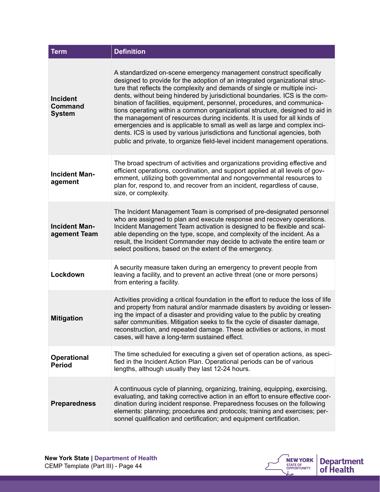| <b>Term</b>                                        | <b>Definition</b>                                                                                                                                                                                                                                                                                                                                                                                                                                                                                                                                                                                                                                                                                                                                                                                |
|----------------------------------------------------|--------------------------------------------------------------------------------------------------------------------------------------------------------------------------------------------------------------------------------------------------------------------------------------------------------------------------------------------------------------------------------------------------------------------------------------------------------------------------------------------------------------------------------------------------------------------------------------------------------------------------------------------------------------------------------------------------------------------------------------------------------------------------------------------------|
| <b>Incident</b><br><b>Command</b><br><b>System</b> | A standardized on-scene emergency management construct specifically<br>designed to provide for the adoption of an integrated organizational struc-<br>ture that reflects the complexity and demands of single or multiple inci-<br>dents, without being hindered by jurisdictional boundaries. ICS is the com-<br>bination of facilities, equipment, personnel, procedures, and communica-<br>tions operating within a common organizational structure, designed to aid in<br>the management of resources during incidents. It is used for all kinds of<br>emergencies and is applicable to small as well as large and complex inci-<br>dents. ICS is used by various jurisdictions and functional agencies, both<br>public and private, to organize field-level incident management operations. |
| <b>Incident Man-</b><br>agement                    | The broad spectrum of activities and organizations providing effective and<br>efficient operations, coordination, and support applied at all levels of gov-<br>ernment, utilizing both governmental and nongovernmental resources to<br>plan for, respond to, and recover from an incident, regardless of cause,<br>size, or complexity.                                                                                                                                                                                                                                                                                                                                                                                                                                                         |
| <b>Incident Man-</b><br>agement Team               | The Incident Management Team is comprised of pre-designated personnel<br>who are assigned to plan and execute response and recovery operations.<br>Incident Management Team activation is designed to be flexible and scal-<br>able depending on the type, scope, and complexity of the incident. As a<br>result, the Incident Commander may decide to activate the entire team or<br>select positions, based on the extent of the emergency.                                                                                                                                                                                                                                                                                                                                                    |
| Lockdown                                           | A security measure taken during an emergency to prevent people from<br>leaving a facility, and to prevent an active threat (one or more persons)<br>from entering a facility.                                                                                                                                                                                                                                                                                                                                                                                                                                                                                                                                                                                                                    |
| <b>Mitigation</b>                                  | Activities providing a critical foundation in the effort to reduce the loss of life<br>and property from natural and/or manmade disasters by avoiding or lessen-<br>ing the impact of a disaster and providing value to the public by creating<br>safer communities. Mitigation seeks to fix the cycle of disaster damage,<br>reconstruction, and repeated damage. These activities or actions, in most<br>cases, will have a long-term sustained effect.                                                                                                                                                                                                                                                                                                                                        |
| <b>Operational</b><br><b>Period</b>                | The time scheduled for executing a given set of operation actions, as speci-<br>fied in the Incident Action Plan. Operational periods can be of various<br>lengths, although usually they last 12-24 hours.                                                                                                                                                                                                                                                                                                                                                                                                                                                                                                                                                                                      |
| <b>Preparedness</b>                                | A continuous cycle of planning, organizing, training, equipping, exercising,<br>evaluating, and taking corrective action in an effort to ensure effective coor-<br>dination during incident response. Preparedness focuses on the following<br>elements: planning; procedures and protocols; training and exercises; per-<br>sonnel qualification and certification; and equipment certification.                                                                                                                                                                                                                                                                                                                                                                                                |

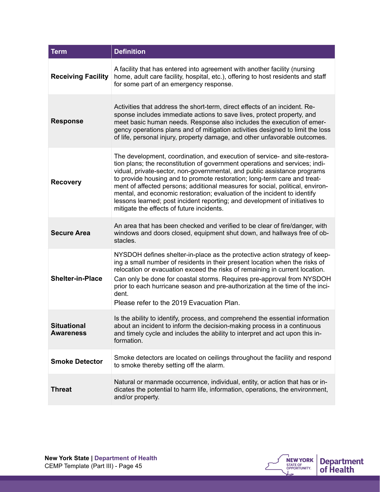| <b>Term</b>                            | <b>Definition</b>                                                                                                                                                                                                                                                                                                                                                                                                                                                                                                                                                                                          |
|----------------------------------------|------------------------------------------------------------------------------------------------------------------------------------------------------------------------------------------------------------------------------------------------------------------------------------------------------------------------------------------------------------------------------------------------------------------------------------------------------------------------------------------------------------------------------------------------------------------------------------------------------------|
| <b>Receiving Facility</b>              | A facility that has entered into agreement with another facility (nursing<br>home, adult care facility, hospital, etc.), offering to host residents and staff<br>for some part of an emergency response.                                                                                                                                                                                                                                                                                                                                                                                                   |
| <b>Response</b>                        | Activities that address the short-term, direct effects of an incident. Re-<br>sponse includes immediate actions to save lives, protect property, and<br>meet basic human needs. Response also includes the execution of emer-<br>gency operations plans and of mitigation activities designed to limit the loss<br>of life, personal injury, property damage, and other unfavorable outcomes.                                                                                                                                                                                                              |
| <b>Recovery</b>                        | The development, coordination, and execution of service- and site-restora-<br>tion plans; the reconstitution of government operations and services; indi-<br>vidual, private-sector, non-governmental, and public assistance programs<br>to provide housing and to promote restoration; long-term care and treat-<br>ment of affected persons; additional measures for social, political, environ-<br>mental, and economic restoration; evaluation of the incident to identify<br>lessons learned; post incident reporting; and development of initiatives to<br>mitigate the effects of future incidents. |
| <b>Secure Area</b>                     | An area that has been checked and verified to be clear of fire/danger, with<br>windows and doors closed, equipment shut down, and hallways free of ob-<br>stacles.                                                                                                                                                                                                                                                                                                                                                                                                                                         |
| <b>Shelter-in-Place</b>                | NYSDOH defines shelter-in-place as the protective action strategy of keep-<br>ing a small number of residents in their present location when the risks of<br>relocation or evacuation exceed the risks of remaining in current location.<br>Can only be done for coastal storms. Requires pre-approval from NYSDOH<br>prior to each hurricane season and pre-authorization at the time of the inci-<br>dent.<br>Please refer to the 2019 Evacuation Plan.                                                                                                                                                  |
| <b>Situational</b><br><b>Awareness</b> | Is the ability to identify, process, and comprehend the essential information<br>about an incident to inform the decision-making process in a continuous<br>and timely cycle and includes the ability to interpret and act upon this in-<br>formation.                                                                                                                                                                                                                                                                                                                                                     |
| <b>Smoke Detector</b>                  | Smoke detectors are located on ceilings throughout the facility and respond<br>to smoke thereby setting off the alarm.                                                                                                                                                                                                                                                                                                                                                                                                                                                                                     |
| <b>Threat</b>                          | Natural or manmade occurrence, individual, entity, or action that has or in-<br>dicates the potential to harm life, information, operations, the environment,<br>and/or property.                                                                                                                                                                                                                                                                                                                                                                                                                          |

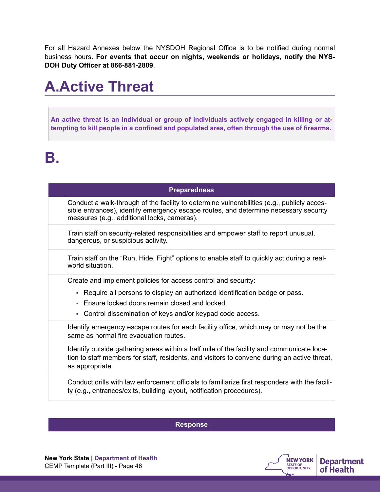For all Hazard Annexes below the NYSDOH Regional Office is to be notified during normal business hours. **For events that occur on nights, weekends or holidays, notify the NYS-DOH Duty Officer at 866-881-2809**.

### **A.Active Threat**

**An active threat is an individual or group of individuals actively engaged in killing or attempting to kill people in a confined and populated area, often through the use of firearms.**

### **B.**

| <b>Preparedness</b> |                                                                                                                                                                                                                                                                 |  |
|---------------------|-----------------------------------------------------------------------------------------------------------------------------------------------------------------------------------------------------------------------------------------------------------------|--|
|                     | Conduct a walk-through of the facility to determine vulnerabilities (e.g., publicly acces-<br>sible entrances), identify emergency escape routes, and determine necessary security<br>measures (e.g., additional locks, cameras).                               |  |
|                     | Train staff on security-related responsibilities and empower staff to report unusual,<br>dangerous, or suspicious activity.                                                                                                                                     |  |
|                     | Train staff on the "Run, Hide, Fight" options to enable staff to quickly act during a real-<br>world situation.                                                                                                                                                 |  |
|                     | Create and implement policies for access control and security:<br>- Require all persons to display an authorized identification badge or pass.<br>• Ensure locked doors remain closed and locked.<br>- Control dissemination of keys and/or keypad code access. |  |
|                     | Identify emergency escape routes for each facility office, which may or may not be the<br>same as normal fire evacuation routes.                                                                                                                                |  |
|                     | Identify outside gathering areas within a half mile of the facility and communicate loca-<br>tion to staff members for staff, residents, and visitors to convene during an active threat,<br>as appropriate.                                                    |  |
|                     | Conduct drills with law enforcement officials to familiarize first responders with the facili-<br>ty (e.g., entrances/exits, building layout, notification procedures).                                                                                         |  |

**Response**

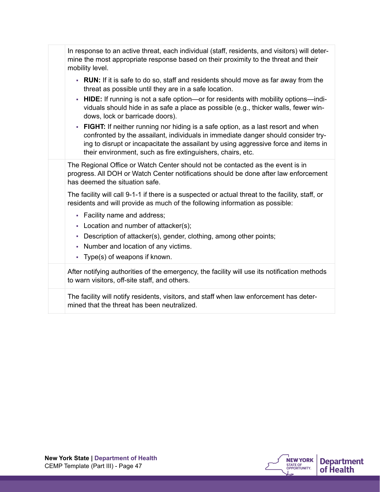| In response to an active threat, each individual (staff, residents, and visitors) will deter-<br>mine the most appropriate response based on their proximity to the threat and their<br>mobility level.                                                                                                                       |
|-------------------------------------------------------------------------------------------------------------------------------------------------------------------------------------------------------------------------------------------------------------------------------------------------------------------------------|
| • RUN: If it is safe to do so, staff and residents should move as far away from the<br>threat as possible until they are in a safe location.                                                                                                                                                                                  |
| <b>HIDE:</b> If running is not a safe option—or for residents with mobility options—indi-<br>à,<br>viduals should hide in as safe a place as possible (e.g., thicker walls, fewer win-<br>dows, lock or barricade doors).                                                                                                     |
| • FIGHT: If neither running nor hiding is a safe option, as a last resort and when<br>confronted by the assailant, individuals in immediate danger should consider try-<br>ing to disrupt or incapacitate the assailant by using aggressive force and items in<br>their environment, such as fire extinguishers, chairs, etc. |
| The Regional Office or Watch Center should not be contacted as the event is in<br>progress. All DOH or Watch Center notifications should be done after law enforcement<br>has deemed the situation safe.                                                                                                                      |
| The facility will call 9-1-1 if there is a suspected or actual threat to the facility, staff, or<br>residents and will provide as much of the following information as possible:                                                                                                                                              |
| • Facility name and address;<br>- Location and number of attacker(s);                                                                                                                                                                                                                                                         |
| Description of attacker(s), gender, clothing, among other points;<br>٠<br>Number and location of any victims.<br>a,<br>- Type(s) of weapons if known.                                                                                                                                                                         |
| After notifying authorities of the emergency, the facility will use its notification methods<br>to warn visitors, off-site staff, and others.                                                                                                                                                                                 |
| The facility will notify residents, visitors, and staff when law enforcement has deter-<br>mined that the threat has been neutralized.                                                                                                                                                                                        |

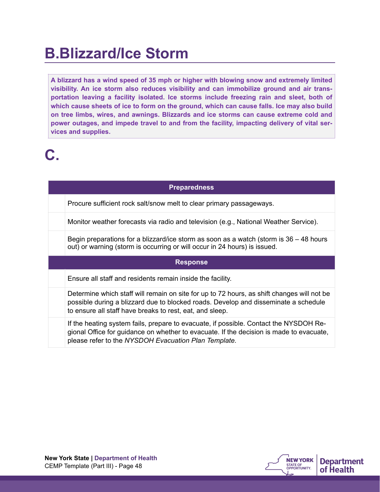### **B.Blizzard/Ice Storm**

**A blizzard has a wind speed of 35 mph or higher with blowing snow and extremely limited visibility. An ice storm also reduces visibility and can immobilize ground and air transportation leaving a facility isolated. Ice storms include freezing rain and sleet, both of which cause sheets of ice to form on the ground, which can cause falls. Ice may also build on tree limbs, wires, and awnings. Blizzards and ice storms can cause extreme cold and power outages, and impede travel to and from the facility, impacting delivery of vital services and supplies.** 

## **C.**

#### **Preparedness**

Procure sufficient rock salt/snow melt to clear primary passageways.

Monitor weather forecasts via radio and television (e.g., National Weather Service).

Begin preparations for a blizzard/ice storm as soon as a watch (storm is 36 – 48 hours out) or warning (storm is occurring or will occur in 24 hours) is issued.

#### **Response**

Ensure all staff and residents remain inside the facility.

Determine which staff will remain on site for up to 72 hours, as shift changes will not be possible during a blizzard due to blocked roads. Develop and disseminate a schedule to ensure all staff have breaks to rest, eat, and sleep.

If the heating system fails, prepare to evacuate, if possible. Contact the NYSDOH Regional Office for guidance on whether to evacuate. If the decision is made to evacuate, please refer to the *NYSDOH Evacuation Plan Template.*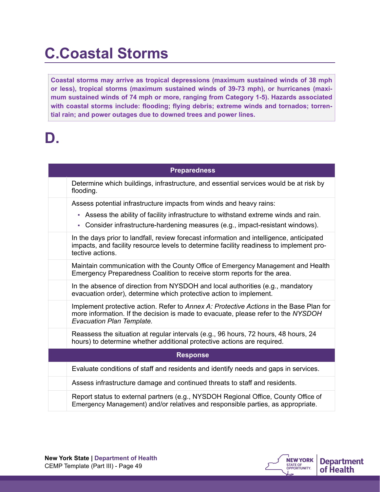### **C.Coastal Storms**

**Coastal storms may arrive as tropical depressions (maximum sustained winds of 38 mph or less), tropical storms (maximum sustained winds of 39-73 mph), or hurricanes (maximum sustained winds of 74 mph or more, ranging from Category 1-5). Hazards associated with coastal storms include: flooding; flying debris; extreme winds and tornados; torrential rain; and power outages due to downed trees and power lines.**

### **D.**

| <b>Preparedness</b> |                                                                                                                                                                                                          |  |  |
|---------------------|----------------------------------------------------------------------------------------------------------------------------------------------------------------------------------------------------------|--|--|
|                     | Determine which buildings, infrastructure, and essential services would be at risk by<br>flooding.                                                                                                       |  |  |
|                     | Assess potential infrastructure impacts from winds and heavy rains:                                                                                                                                      |  |  |
|                     | - Assess the ability of facility infrastructure to withstand extreme winds and rain.                                                                                                                     |  |  |
|                     | - Consider infrastructure-hardening measures (e.g., impact-resistant windows).                                                                                                                           |  |  |
|                     | In the days prior to landfall, review forecast information and intelligence, anticipated<br>impacts, and facility resource levels to determine facility readiness to implement pro-<br>tective actions.  |  |  |
|                     | Maintain communication with the County Office of Emergency Management and Health<br>Emergency Preparedness Coalition to receive storm reports for the area.                                              |  |  |
|                     | In the absence of direction from NYSDOH and local authorities (e.g., mandatory<br>evacuation order), determine which protective action to implement.                                                     |  |  |
|                     | Implement protective action. Refer to Annex A: Protective Actions in the Base Plan for<br>more information. If the decision is made to evacuate, please refer to the NYSDOH<br>Evacuation Plan Template. |  |  |
|                     | Reassess the situation at regular intervals (e.g., 96 hours, 72 hours, 48 hours, 24<br>hours) to determine whether additional protective actions are required.                                           |  |  |
| <b>Response</b>     |                                                                                                                                                                                                          |  |  |
|                     | Evaluate conditions of staff and residents and identify needs and gaps in services.                                                                                                                      |  |  |
|                     | Assess infrastructure damage and continued threats to staff and residents.                                                                                                                               |  |  |
|                     | Report status to external partners (e.g., NYSDOH Regional Office, County Office of<br>Emergency Management) and/or relatives and responsible parties, as appropriate.                                    |  |  |

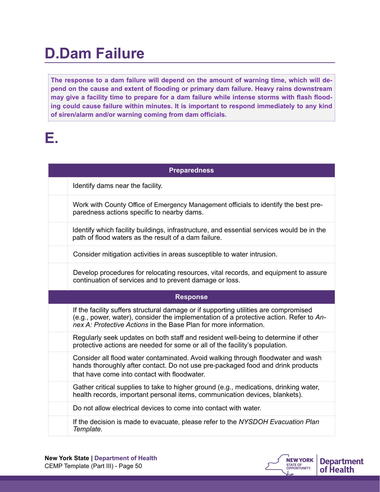## **D.Dam Failure**

**The response to a dam failure will depend on the amount of warning time, which will depend on the cause and extent of flooding or primary dam failure. Heavy rains downstream may give a facility time to prepare for a dam failure while intense storms with flash flooding could cause failure within minutes. It is important to respond immediately to any kind of siren/alarm and/or warning coming from dam officials.**

## **E.**

| <b>Preparedness</b> |                                                                                                                                                                                                                                                    |  |
|---------------------|----------------------------------------------------------------------------------------------------------------------------------------------------------------------------------------------------------------------------------------------------|--|
|                     | Identify dams near the facility.                                                                                                                                                                                                                   |  |
|                     | Work with County Office of Emergency Management officials to identify the best pre-<br>paredness actions specific to nearby dams.                                                                                                                  |  |
|                     | Identify which facility buildings, infrastructure, and essential services would be in the<br>path of flood waters as the result of a dam failure.                                                                                                  |  |
|                     | Consider mitigation activities in areas susceptible to water intrusion.                                                                                                                                                                            |  |
|                     | Develop procedures for relocating resources, vital records, and equipment to assure<br>continuation of services and to prevent damage or loss.                                                                                                     |  |
|                     | <b>Response</b>                                                                                                                                                                                                                                    |  |
|                     |                                                                                                                                                                                                                                                    |  |
|                     | If the facility suffers structural damage or if supporting utilities are compromised<br>(e.g., power, water), consider the implementation of a protective action. Refer to An-<br>nex A: Protective Actions in the Base Plan for more information. |  |
|                     | Regularly seek updates on both staff and resident well-being to determine if other<br>protective actions are needed for some or all of the facility's population.                                                                                  |  |
|                     | Consider all flood water contaminated. Avoid walking through floodwater and wash<br>hands thoroughly after contact. Do not use pre-packaged food and drink products<br>that have come into contact with floodwater.                                |  |
|                     | Gather critical supplies to take to higher ground (e.g., medications, drinking water,<br>health records, important personal items, communication devices, blankets).                                                                               |  |
|                     | Do not allow electrical devices to come into contact with water.                                                                                                                                                                                   |  |

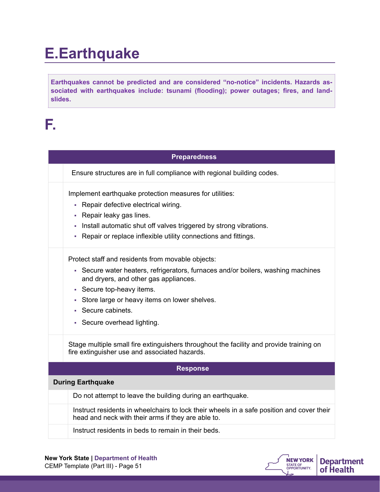## **E.Earthquake**

**Earthquakes cannot be predicted and are considered "no-notice" incidents. Hazards associated with earthquakes include: tsunami (flooding); power outages; fires, and landslides.**

### **F.**

| <b>Preparedness</b> |                                                                                                                                                 |  |
|---------------------|-------------------------------------------------------------------------------------------------------------------------------------------------|--|
|                     | Ensure structures are in full compliance with regional building codes.                                                                          |  |
|                     | Implement earthquake protection measures for utilities:                                                                                         |  |
|                     | Repair defective electrical wiring.<br>٠                                                                                                        |  |
|                     | Repair leaky gas lines.<br>ш                                                                                                                    |  |
|                     | Install automatic shut off valves triggered by strong vibrations.                                                                               |  |
|                     | Repair or replace inflexible utility connections and fittings.<br>a,                                                                            |  |
|                     | Protect staff and residents from movable objects:                                                                                               |  |
|                     | - Secure water heaters, refrigerators, furnaces and/or boilers, washing machines                                                                |  |
|                     | and dryers, and other gas appliances.                                                                                                           |  |
|                     | - Secure top-heavy items.                                                                                                                       |  |
|                     | Store large or heavy items on lower shelves.<br>È,                                                                                              |  |
|                     | Secure cabinets.                                                                                                                                |  |
|                     | Secure overhead lighting.                                                                                                                       |  |
|                     | Stage multiple small fire extinguishers throughout the facility and provide training on<br>fire extinguisher use and associated hazards.        |  |
|                     | <b>Response</b>                                                                                                                                 |  |
|                     | <b>During Earthquake</b>                                                                                                                        |  |
|                     | Do not attempt to leave the building during an earthquake.                                                                                      |  |
|                     | Instruct residents in wheelchairs to lock their wheels in a safe position and cover their<br>head and neck with their arms if they are able to. |  |
|                     | Instruct residents in beds to remain in their beds.                                                                                             |  |
|                     |                                                                                                                                                 |  |

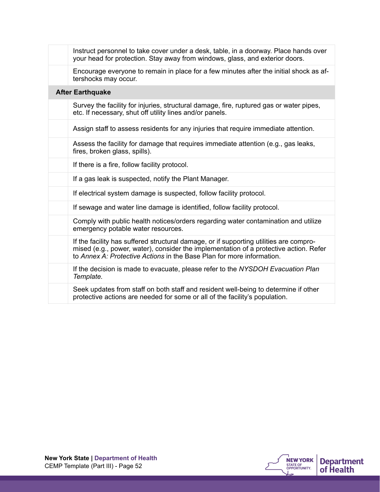| Instruct personnel to take cover under a desk, table, in a doorway. Place hands over<br>your head for protection. Stay away from windows, glass, and exterior doors.                                                                                     |
|----------------------------------------------------------------------------------------------------------------------------------------------------------------------------------------------------------------------------------------------------------|
| Encourage everyone to remain in place for a few minutes after the initial shock as af-<br>tershocks may occur.                                                                                                                                           |
| <b>After Earthquake</b>                                                                                                                                                                                                                                  |
| Survey the facility for injuries, structural damage, fire, ruptured gas or water pipes,<br>etc. If necessary, shut off utility lines and/or panels.                                                                                                      |
| Assign staff to assess residents for any injuries that require immediate attention.                                                                                                                                                                      |
| Assess the facility for damage that requires immediate attention (e.g., gas leaks,<br>fires, broken glass, spills).                                                                                                                                      |
| If there is a fire, follow facility protocol.                                                                                                                                                                                                            |
| If a gas leak is suspected, notify the Plant Manager.                                                                                                                                                                                                    |
| If electrical system damage is suspected, follow facility protocol.                                                                                                                                                                                      |
| If sewage and water line damage is identified, follow facility protocol.                                                                                                                                                                                 |
| Comply with public health notices/orders regarding water contamination and utilize<br>emergency potable water resources.                                                                                                                                 |
| If the facility has suffered structural damage, or if supporting utilities are compro-<br>mised (e.g., power, water), consider the implementation of a protective action. Refer<br>to Annex A: Protective Actions in the Base Plan for more information. |
| If the decision is made to evacuate, please refer to the NYSDOH Evacuation Plan<br>Template.                                                                                                                                                             |
| Seek updates from staff on both staff and resident well-being to determine if other<br>protective actions are needed for some or all of the facility's population.                                                                                       |

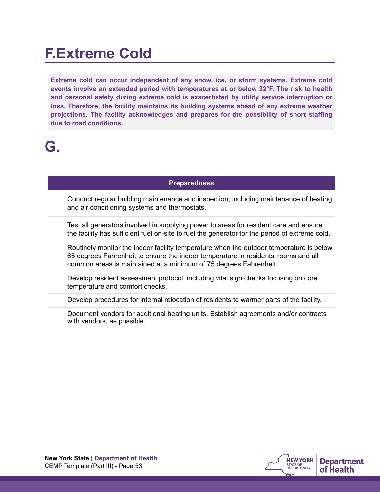### **F.Extreme Cold**

**Extreme cold can occur independent of any snow, ice, or storm systems. Extreme cold events involve an extended period with temperatures at or below 32°F. The risk to health and personal safety during extreme cold is exacerbated by utility service interruption or loss. Therefore, the facility maintains its building systems ahead of any extreme weather projections. The facility acknowledges and prepares for the possibility of short staffing due to road conditions.**

## **G.**

#### **Preparedness**

Conduct regular building maintenance and inspection, including maintenance of heating and air conditioning systems and thermostats.

Test all generators involved in supplying power to areas for resident care and ensure the facility has sufficient fuel on-site to fuel the generator for the period of extreme cold.

Routinely monitor the indoor facility temperature when the outdoor temperature is below 65 degrees Fahrenheit to ensure the indoor temperature in residents' rooms and all common areas is maintained at a minimum of 75 degrees Fahrenheit.

Develop resident assessment protocol, including vital sign checks focusing on core temperature and comfort checks.

Develop procedures for internal relocation of residents to warmer parts of the facility.

Document vendors for additional heating units. Establish agreements and/or contracts with vendors, as possible.

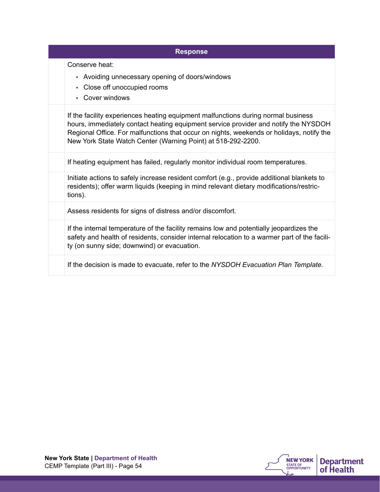| <b>Response</b>                                                                                                                                                                                                                                                                                                                      |
|--------------------------------------------------------------------------------------------------------------------------------------------------------------------------------------------------------------------------------------------------------------------------------------------------------------------------------------|
| Conserve heat:<br>- Avoiding unnecessary opening of doors/windows<br>- Close off unoccupied rooms<br>Cover windows<br>a.                                                                                                                                                                                                             |
| If the facility experiences heating equipment malfunctions during normal business<br>hours, immediately contact heating equipment service provider and notify the NYSDOH<br>Regional Office. For malfunctions that occur on nights, weekends or holidays, notify the<br>New York State Watch Center (Warning Point) at 518-292-2200. |
| If heating equipment has failed, regularly monitor individual room temperatures.                                                                                                                                                                                                                                                     |
| Initiate actions to safely increase resident comfort (e.g., provide additional blankets to<br>residents); offer warm liquids (keeping in mind relevant dietary modifications/restric-<br>tions).                                                                                                                                     |
| Assess residents for signs of distress and/or discomfort.                                                                                                                                                                                                                                                                            |
| If the internal temperature of the facility remains low and potentially jeopardizes the<br>safety and health of residents, consider internal relocation to a warmer part of the facili-<br>ty (on sunny side; downwind) or evacuation.                                                                                               |
| If the decision is made to evacuate, refer to the NYSDOH Evacuation Plan Template.                                                                                                                                                                                                                                                   |

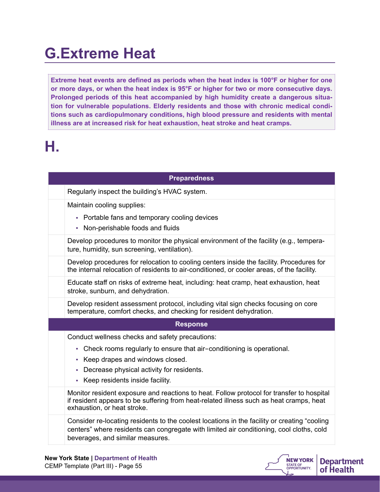### **G.Extreme Heat**

**Extreme heat events are defined as periods when the heat index is 100°F or higher for one or more days, or when the heat index is 95°F or higher for two or more consecutive days. Prolonged periods of this heat accompanied by high humidity create a dangerous situation for vulnerable populations. Elderly residents and those with chronic medical conditions such as cardiopulmonary conditions, high blood pressure and residents with mental illness are at increased risk for heat exhaustion, heat stroke and heat cramps.**

# **H.**

| <b>Preparedness</b>                                                                                                                                                                                                           |
|-------------------------------------------------------------------------------------------------------------------------------------------------------------------------------------------------------------------------------|
| Regularly inspect the building's HVAC system.                                                                                                                                                                                 |
| Maintain cooling supplies:                                                                                                                                                                                                    |
| • Portable fans and temporary cooling devices<br>• Non-perishable foods and fluids                                                                                                                                            |
| Develop procedures to monitor the physical environment of the facility (e.g., tempera-<br>ture, humidity, sun screening, ventilation).                                                                                        |
| Develop procedures for relocation to cooling centers inside the facility. Procedures for<br>the internal relocation of residents to air-conditioned, or cooler areas, of the facility.                                        |
| Educate staff on risks of extreme heat, including: heat cramp, heat exhaustion, heat<br>stroke, sunburn, and dehydration.                                                                                                     |
| Develop resident assessment protocol, including vital sign checks focusing on core<br>temperature, comfort checks, and checking for resident dehydration.                                                                     |
| <b>Response</b>                                                                                                                                                                                                               |
| Conduct wellness checks and safety precautions:                                                                                                                                                                               |
| - Check rooms regularly to ensure that air-conditioning is operational.                                                                                                                                                       |
| • Keep drapes and windows closed.                                                                                                                                                                                             |
| - Decrease physical activity for residents.<br>- Keep residents inside facility.                                                                                                                                              |
| Monitor resident exposure and reactions to heat. Follow protocol for transfer to hospital<br>if resident appears to be suffering from heat-related illness such as heat cramps, heat<br>exhaustion, or heat stroke.           |
| Consider re-locating residents to the coolest locations in the facility or creating "cooling"<br>centers" where residents can congregate with limited air conditioning, cool cloths, cold<br>beverages, and similar measures. |
|                                                                                                                                                                                                                               |

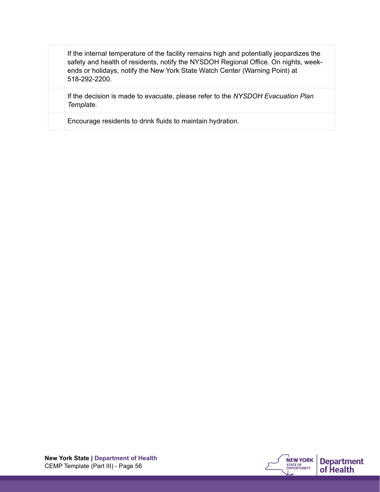If the internal temperature of the facility remains high and potentially jeopardizes the safety and health of residents, notify the NYSDOH Regional Office. On nights, weekends or holidays, notify the New York State Watch Center (Warning Point) at 518-292-2200.

If the decision is made to evacuate, please refer to the *NYSDOH Evacuation Plan Template.*

Encourage residents to drink fluids to maintain hydration.

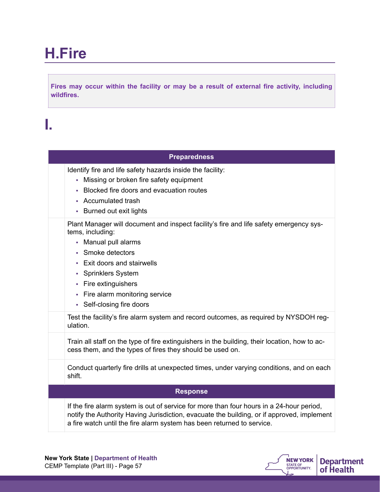## **H.Fire**

**Fires may occur within the facility or may be a result of external fire activity, including wildfires.**

## **I.**

| <b>Preparedness</b>                                                                                                                                                                                                                                         |                                                                                                                                                                                        |
|-------------------------------------------------------------------------------------------------------------------------------------------------------------------------------------------------------------------------------------------------------------|----------------------------------------------------------------------------------------------------------------------------------------------------------------------------------------|
| Identify fire and life safety hazards inside the facility:<br>- Missing or broken fire safety equipment<br>Blocked fire doors and evacuation routes<br>$\mathcal{L}_{\mathcal{A}}$<br>• Accumulated trash<br>• Burned out exit lights                       |                                                                                                                                                                                        |
| tems, including:<br>• Manual pull alarms<br>Smoke detectors<br><b>Exit doors and stairwells</b><br>×.<br><b>Sprinklers System</b><br>$\mathcal{L}_{\mathcal{A}}$<br>Fire extinguishers<br>×<br>• Fire alarm monitoring service<br>• Self-closing fire doors | Plant Manager will document and inspect facility's fire and life safety emergency sys-                                                                                                 |
| ulation.                                                                                                                                                                                                                                                    | Test the facility's fire alarm system and record outcomes, as required by NYSDOH reg-                                                                                                  |
| cess them, and the types of fires they should be used on.                                                                                                                                                                                                   | Train all staff on the type of fire extinguishers in the building, their location, how to ac-                                                                                          |
| shift.                                                                                                                                                                                                                                                      | Conduct quarterly fire drills at unexpected times, under varying conditions, and on each                                                                                               |
| <b>Response</b>                                                                                                                                                                                                                                             |                                                                                                                                                                                        |
| a fire watch until the fire alarm system has been returned to service.                                                                                                                                                                                      | If the fire alarm system is out of service for more than four hours in a 24-hour period,<br>notify the Authority Having Jurisdiction, evacuate the building, or if approved, implement |

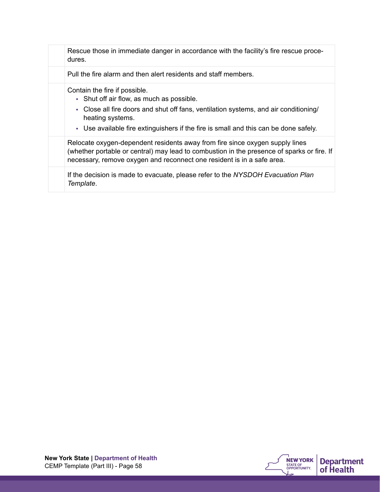| Rescue those in immediate danger in accordance with the facility's fire rescue proce-<br>dures.                                                                                                                                                                                |
|--------------------------------------------------------------------------------------------------------------------------------------------------------------------------------------------------------------------------------------------------------------------------------|
| Pull the fire alarm and then alert residents and staff members.                                                                                                                                                                                                                |
| Contain the fire if possible.<br>• Shut off air flow, as much as possible.<br>• Close all fire doors and shut off fans, ventilation systems, and air conditioning/<br>heating systems.<br>- Use available fire extinguishers if the fire is small and this can be done safely. |
| Relocate oxygen-dependent residents away from fire since oxygen supply lines<br>(whether portable or central) may lead to combustion in the presence of sparks or fire. If<br>necessary, remove oxygen and reconnect one resident is in a safe area.                           |
| If the decision is made to evacuate, please refer to the NYSDOH Evacuation Plan<br>Template.                                                                                                                                                                                   |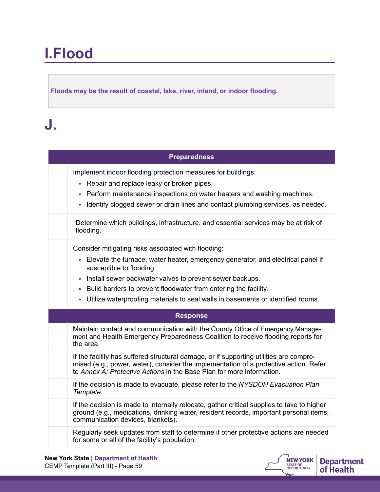## **I.Flood**

**Floods may be the result of coastal, lake, river, inland, or indoor flooding.** 

## **J.**

| <b>Preparedness</b>                                                                                                                                                                                                                                                                                                                                                                           |
|-----------------------------------------------------------------------------------------------------------------------------------------------------------------------------------------------------------------------------------------------------------------------------------------------------------------------------------------------------------------------------------------------|
| Implement indoor flooding protection measures for buildings:<br>- Repair and replace leaky or broken pipes.<br>- Perform maintenance inspections on water heaters and washing machines.<br>Identify clogged sewer or drain lines and contact plumbing services, as needed.                                                                                                                    |
| Determine which buildings, infrastructure, and essential services may be at risk of<br>flooding.                                                                                                                                                                                                                                                                                              |
| Consider mitigating risks associated with flooding:<br>- Elevate the furnace, water heater, emergency generator, and electrical panel if<br>susceptible to flooding.<br>- Install sewer backwater valves to prevent sewer backups.<br>- Build barriers to prevent floodwater from entering the facility.<br>- Utilize waterproofing materials to seal walls in basements or identified rooms. |
| <b>Response</b>                                                                                                                                                                                                                                                                                                                                                                               |
| Maintain contact and communication with the County Office of Emergency Manage-<br>ment and Health Emergency Preparedness Coalition to receive flooding reports for<br>the area.                                                                                                                                                                                                               |
| If the facility has suffered structural damage, or if supporting utilities are compro-<br>mised (e.g., power, water), consider the implementation of a protective action. Refer<br>to Annex A: Protective Actions in the Base Plan for more information.                                                                                                                                      |
| If the decision is made to evacuate, please refer to the NYSDOH Evacuation Plan<br>Template.                                                                                                                                                                                                                                                                                                  |
| If the decision is made to internally relocate, gather critical supplies to take to higher<br>ground (e.g., medications, drinking water, resident records, important personal items,<br>communication devices, blankets).                                                                                                                                                                     |
| Regularly seek updates from staff to determine if other protective actions are needed<br>for some or all of the facility's population.                                                                                                                                                                                                                                                        |

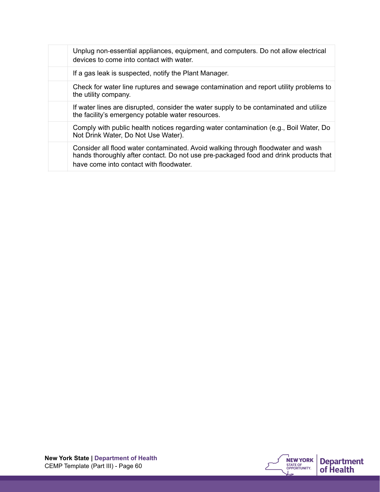| Unplug non-essential appliances, equipment, and computers. Do not allow electrical<br>devices to come into contact with water.                                                                                      |
|---------------------------------------------------------------------------------------------------------------------------------------------------------------------------------------------------------------------|
| If a gas leak is suspected, notify the Plant Manager.                                                                                                                                                               |
| Check for water line ruptures and sewage contamination and report utility problems to<br>the utility company.                                                                                                       |
| If water lines are disrupted, consider the water supply to be contaminated and utilize<br>the facility's emergency potable water resources.                                                                         |
| Comply with public health notices regarding water contamination (e.g., Boil Water, Do<br>Not Drink Water, Do Not Use Water).                                                                                        |
| Consider all flood water contaminated. Avoid walking through floodwater and wash<br>hands thoroughly after contact. Do not use pre-packaged food and drink products that<br>have come into contact with floodwater. |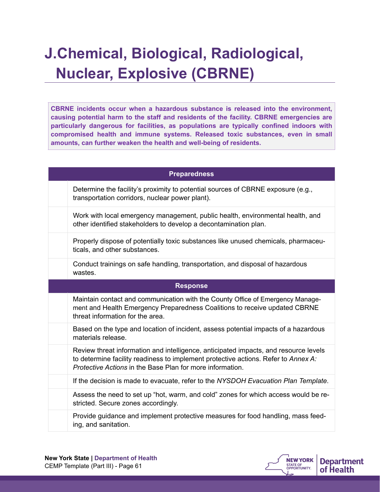## **J.Chemical, Biological, Radiological, Nuclear, Explosive (CBRNE)**

**CBRNE incidents occur when a hazardous substance is released into the environment, causing potential harm to the staff and residents of the facility. CBRNE emergencies are particularly dangerous for facilities, as populations are typically confined indoors with compromised health and immune systems. Released toxic substances, even in small amounts, can further weaken the health and well-being of residents.**

| <b>Preparedness</b>                                                                                                                                                                                                                     |
|-----------------------------------------------------------------------------------------------------------------------------------------------------------------------------------------------------------------------------------------|
| Determine the facility's proximity to potential sources of CBRNE exposure (e.g.,<br>transportation corridors, nuclear power plant).                                                                                                     |
| Work with local emergency management, public health, environmental health, and<br>other identified stakeholders to develop a decontamination plan.                                                                                      |
| Properly dispose of potentially toxic substances like unused chemicals, pharmaceu-<br>ticals, and other substances.                                                                                                                     |
| Conduct trainings on safe handling, transportation, and disposal of hazardous<br>wastes.                                                                                                                                                |
| <b>Response</b>                                                                                                                                                                                                                         |
| Maintain contact and communication with the County Office of Emergency Manage-<br>ment and Health Emergency Preparedness Coalitions to receive updated CBRNE<br>threat information for the area.                                        |
| Based on the type and location of incident, assess potential impacts of a hazardous<br>materials release.                                                                                                                               |
| Review threat information and intelligence, anticipated impacts, and resource levels<br>to determine facility readiness to implement protective actions. Refer to Annex A:<br>Protective Actions in the Base Plan for more information. |
| If the decision is made to evacuate, refer to the NYSDOH Evacuation Plan Template.                                                                                                                                                      |
| Assess the need to set up "hot, warm, and cold" zones for which access would be re-<br>stricted. Secure zones accordingly.                                                                                                              |
| Provide guidance and implement protective measures for food handling, mass feed-                                                                                                                                                        |

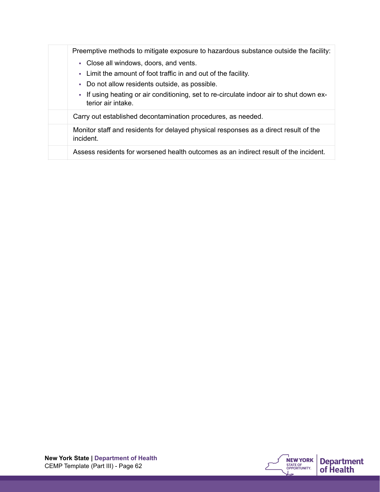| Preemptive methods to mitigate exposure to hazardous substance outside the facility:                          |
|---------------------------------------------------------------------------------------------------------------|
| • Close all windows, doors, and vents.                                                                        |
| - Limit the amount of foot traffic in and out of the facility.                                                |
| • Do not allow residents outside, as possible.                                                                |
| - If using heating or air conditioning, set to re-circulate indoor air to shut down ex-<br>terior air intake. |
| Carry out established decontamination procedures, as needed.                                                  |
| Monitor staff and residents for delayed physical responses as a direct result of the<br>incident.             |
| Assess residents for worsened health outcomes as an indirect result of the incident.                          |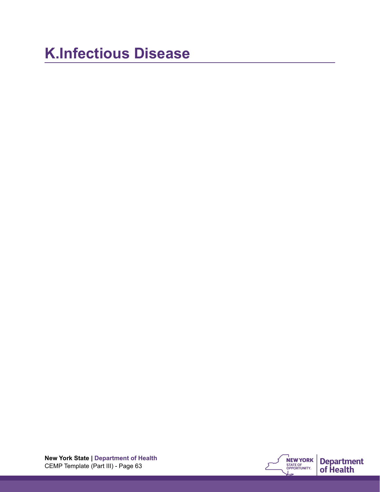## **K.Infectious Disease**

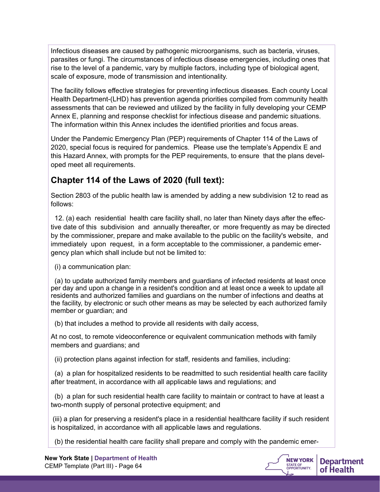Infectious diseases are caused by pathogenic microorganisms, such as bacteria, viruses, parasites or fungi. The circumstances of infectious disease emergencies, including ones that rise to the level of a pandemic, vary by multiple factors, including type of biological agent, scale of exposure, mode of transmission and intentionality.

The facility follows effective strategies for preventing infectious diseases. Each county Local Health Department-(LHD) has prevention agenda priorities compiled from community health assessments that can be reviewed and utilized by the facility in fully developing your CEMP Annex E, planning and response checklist for infectious disease and pandemic situations. The information within this Annex includes the identified priorities and focus areas.

Under the Pandemic Emergency Plan (PEP) requirements of Chapter 114 of the Laws of 2020, special focus is required for pandemics. Please use the template's Appendix E and this Hazard Annex, with prompts for the PEP requirements, to ensure that the plans developed meet all requirements.

### **Chapter 114 of the Laws of 2020 (full text):**

Section 2803 of the public health law is amended by adding a new subdivision 12 to read as follows:

 12. (a) each residential health care facility shall, no later than Ninety days after the effective date of this subdivision and annually thereafter, or more frequently as may be directed by the commissioner, prepare and make available to the public on the facility's website, and immediately upon request, in a form acceptable to the commissioner, a pandemic emergency plan which shall include but not be limited to:

(i) a communication plan:

 (a) to update authorized family members and guardians of infected residents at least once per day and upon a change in a resident's condition and at least once a week to update all residents and authorized families and guardians on the number of infections and deaths at the facility, by electronic or such other means as may be selected by each authorized family member or guardian; and

(b) that includes a method to provide all residents with daily access,

At no cost, to remote videoconference or equivalent communication methods with family members and guardians; and

(ii) protection plans against infection for staff, residents and families, including:

 (a) a plan for hospitalized residents to be readmitted to such residential health care facility after treatment, in accordance with all applicable laws and regulations; and

 (b) a plan for such residential health care facility to maintain or contract to have at least a two-month supply of personal protective equipment; and

 (iii) a plan for preserving a resident's place in a residential healthcare facility if such resident is hospitalized, in accordance with all applicable laws and regulations.

(b) the residential health care facility shall prepare and comply with the pandemic emer-

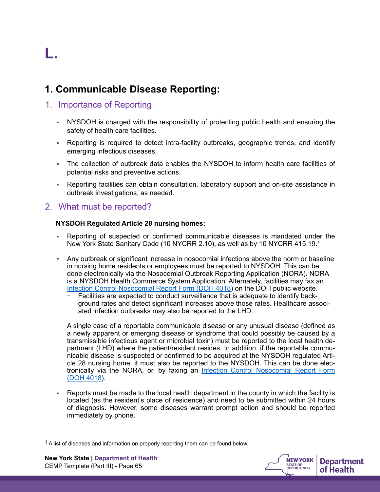# **L.**

### **1. Communicable Disease Reporting:**

### 1. Importance of Reporting

- NYSDOH is charged with the responsibility of protecting public health and ensuring the safety of health care facilities.
- Reporting is required to detect intra-facility outbreaks, geographic trends, and identify emerging infectious diseases.
- The collection of outbreak data enables the NYSDOH to inform health care facilities of potential risks and preventive actions.
- Reporting facilities can obtain consultation, laboratory support and on-site assistance in outbreak investigations, as needed.

### 2. What must be reported?

#### **NYSDOH Regulated Article 28 nursing homes:**

- Reporting of suspected or confirmed communicable diseases is mandated under the New York State Sanitary Code (10 NYCRR 2.10), as well as by 10 NYCRR 415.19.[1](#page-64-0)
- Any outbreak or significant increase in nosocomial infections above the norm or baseline in nursing home residents or employees must be reported to NYSDOH. This can be done electronically via the Nosocomial Outbreak Reporting Application (NORA). NORA is a NYSDOH Health Commerce System Application. Alternately, facilities may fax an [Infection Control Nosocomial Report Form \(DOH 4018](https://www.health.ny.gov/forms/doh-4018.pdf)) on the DOH public website.
	- − Facilities are expected to conduct surveillance that is adequate to identify background rates and detect significant increases above those rates. Healthcare associated infection outbreaks may also be reported to the LHD.

A single case of a [reportable communicable disease](https://www.health.ny.gov/forms/instructions/doh-389_instructions.pdf) or any unusual disease (defined as a newly apparent or emerging disease or syndrome that could possibly be caused by a transmissible infectious agent or microbial toxin) must be reported to the local health department (LHD) where the patient/resident resides. In addition, if the reportable communicable disease is suspected or confirmed to be acquired at the NYSDOH regulated Article 28 nursing home, it must also be reported to the NYSDOH. This can be done electronically via the NORA, or, by faxing an [Infection Control Nosocomial Report Form](https://www.health.ny.gov/forms/doh-4018.pdf) [\(DOH 4018\)](https://www.health.ny.gov/forms/doh-4018.pdf).

Reports must be made to the local health department in the county in which the facility is located (as the resident's place of residence) and need to be submitted within 24 hours of diagnosis. However, some diseases warrant prompt action and should be reported immediately by phone.

<span id="page-64-1"></span>

<span id="page-64-0"></span> $1$  A list of diseases and information on properly reporting them can be found below.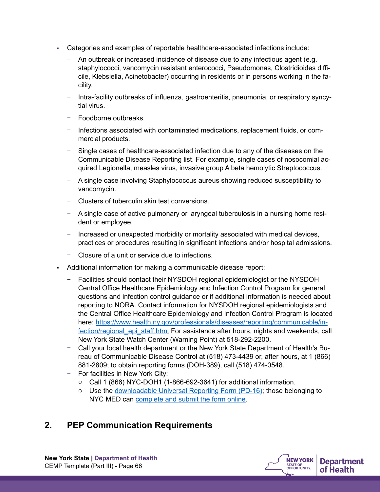- Categories and examples of reportable healthcare-associated infections include:
	- − An outbreak or increased incidence of disease due to any infectious agent (e.g. staphylococci, vancomycin resistant enterococci, Pseudomonas, Clostridioides difficile, Klebsiella, Acinetobacter) occurring in residents or in persons working in the facility.
	- − Intra-facility outbreaks of influenza, gastroenteritis, pneumonia, or respiratory syncytial virus.
	- − Foodborne outbreaks.
	- − Infections associated with contaminated medications, replacement fluids, or commercial products.
	- − Single cases of healthcare-associated infection due to any of the diseases on the Communicable Disease Reporting list. For example, single cases of nosocomial acquired Legionella, measles virus, invasive group A beta hemolytic Streptococcus.
	- − A single case involving Staphylococcus aureus showing reduced susceptibility to vancomycin.
	- − Clusters of tuberculin skin test conversions.
	- − A single case of active pulmonary or laryngeal tuberculosis in a nursing home resident or employee.
	- − Increased or unexpected morbidity or mortality associated with medical devices, practices or procedures resulting in significant infections and/or hospital admissions.
	- − Closure of a unit or service due to infections.
- Additional information for making a communicable disease report:
	- − Facilities should contact their NYSDOH regional epidemiologist or the NYSDOH Central Office Healthcare Epidemiology and Infection Control Program for general questions and infection control guidance or if additional information is needed about reporting to NORA. Contact information for NYSDOH regional epidemiologists and the Central Office Healthcare Epidemiology and Infection Control Program is located [here: https://www.health.ny.gov/professionals/diseases/reporting/communicable/in](https://www.health.ny.gov/professionals/diseases/reporting/communicable/infection/regional_epi_staff.htm)[fection/regional\\_epi\\_staff.htm.](https://www.health.ny.gov/professionals/diseases/reporting/communicable/infection/regional_epi_staff.htm) For assistance after hours, nights and weekends, call New York State Watch Center (Warning Point) at 518-292-2200.
	- − Call your local health department or the New York State Department of Health's Bureau of Communicable Disease Control at (518) 473-4439 or, after hours, at 1 (866) 881-2809; to obtain reporting forms (DOH-389), call (518) 474-0548.
	- − For facilities in New York City:
		- o Call 1 (866) NYC-DOH1 (1-866-692-3641) for additional information.
		- $\circ$  Use the [downloadable Universal Reporting Form \(PD-16\);](https://www1.nyc.gov/assets/doh/downloads/pdf/hcp/urf-0803.pdf) those belonging to NYC MED can [complete and submit the form online.](http://www.nyc.gov/health/nycmed)

### **2. PEP Communication Requirements**

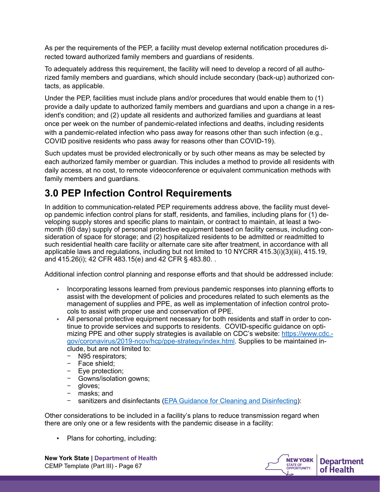As per the requirements of the PEP, a facility must develop external notification procedures directed toward authorized family members and guardians of residents.

To adequately address this requirement, the facility will need to develop a record of all authorized family members and guardians, which should include secondary (back-up) authorized contacts, as applicable.

Under the PEP, facilities must include plans and/or procedures that would enable them to (1) provide a daily update to authorized family members and guardians and upon a change in a resident's condition; and (2) update all residents and authorized families and guardians at least once per week on the number of pandemic-related infections and deaths, including residents with a pandemic-related infection who pass away for reasons other than such infection (e.g., COVID positive residents who pass away for reasons other than COVID-19).

Such updates must be provided electronically or by such other means as may be selected by each authorized family member or guardian. This includes a method to provide all residents with daily access, at no cost, to remote videoconference or equivalent communication methods with family members and guardians.

### **3.0 PEP Infection Control Requirements**

In addition to communication-related PEP requirements address above, the facility must develop pandemic infection control plans for staff, residents, and families, including plans for (1) developing supply stores and specific plans to maintain, or contract to maintain, at least a twomonth (60 day) supply of personal protective equipment based on facility census, including consideration of space for storage; and (2) hospitalized residents to be admitted or readmitted to such residential health care facility or alternate care site after treatment, in accordance with all applicable laws and regulations, including but not limited to 10 NYCRR 415.3(i)(3)(iii), 415.19, and 415.26(i); 42 CFR 483.15(e) and 42 CFR § 483.80. .

Additional infection control planning and response efforts and that should be addressed include:

- Incorporating lessons learned from previous pandemic responses into planning efforts to assist with the development of policies and procedures related to such elements as the management of supplies and PPE, as well as implementation of infection control protocols to assist with proper use and conservation of PPE.
- All personal protective equipment necessary for both residents and staff in order to continue to provide services and supports to residents. COVID-specific guidance on optimizing PPE and other supply strategies is available on CDC's website: [https://www.cdc.](https://www.cdc.gov/coronavirus/2019-ncov/hcp/ppe-strategy/index.html) [gov/coronavirus/2019-ncov/hcp/ppe-strategy/index.html](https://www.cdc.gov/coronavirus/2019-ncov/hcp/ppe-strategy/index.html). Supplies to be maintained include, but are not limited to:
	- − N95 respirators;
	- − Face shield;
	- − Eye protection;
	- − Gowns/isolation gowns;
	- − gloves;
	- − masks; and
	- − sanitizers and disinfectants ([EPA Guidance for Cleaning and Disinfecting](https://www.epa.gov/pesticide-registration/list-n-disinfectants-use-against-sars-cov-2-covid-19f)):

Other considerations to be included in a facility's plans to reduce transmission regard when there are only one or a few residents with the pandemic disease in a facility:

▪ Plans for cohorting, including:



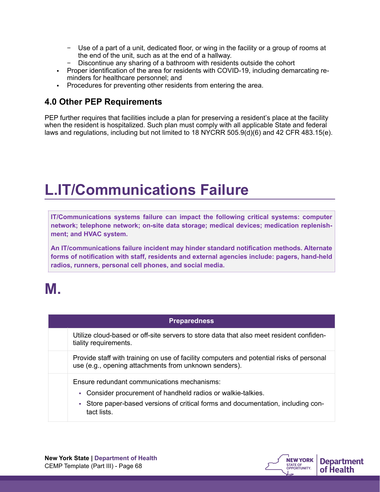- − Use of a part of a unit, dedicated floor, or wing in the facility or a group of rooms at the end of the unit, such as at the end of a hallway.
- Discontinue any sharing of a bathroom with residents outside the cohort
- Proper identification of the area for residents with COVID-19, including demarcating reminders for healthcare personnel; and
- Procedures for preventing other residents from entering the area.

### **4.0 Other PEP Requirements**

PEP further requires that facilities include a plan for preserving a resident's place at the facility when the resident is hospitalized. Such plan must comply with all applicable State and federal laws and regulations, including but not limited to 18 NYCRR 505.9(d)(6) and 42 CFR 483.15(e).

### **L.IT/Communications Failure**

**IT/Communications systems failure can impact the following critical systems: computer network; telephone network; on-site data storage; medical devices; medication replenishment; and HVAC system.** 

**An IT/communications failure incident may hinder standard notification methods. Alternate forms of notification with staff, residents and external agencies include: pagers, hand-held radios, runners, personal cell phones, and social media.**

### **M.**

| <b>Preparedness</b>                                                                                                                                                                                                |
|--------------------------------------------------------------------------------------------------------------------------------------------------------------------------------------------------------------------|
| Utilize cloud-based or off-site servers to store data that also meet resident confiden-<br>tiality requirements.                                                                                                   |
| Provide staff with training on use of facility computers and potential risks of personal<br>use (e.g., opening attachments from unknown senders).                                                                  |
| Ensure redundant communications mechanisms:<br>Consider procurement of handheld radios or walkie-talkies.<br>m.<br>- Store paper-based versions of critical forms and documentation, including con-<br>tact lists. |



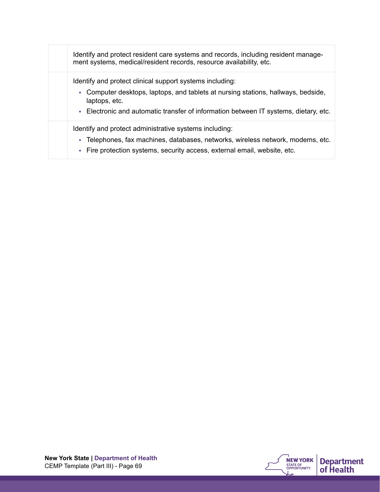| Identify and protect resident care systems and records, including resident manage-<br>ment systems, medical/resident records, resource availability, etc. |
|-----------------------------------------------------------------------------------------------------------------------------------------------------------|
| Identify and protect clinical support systems including:                                                                                                  |
| - Computer desktops, laptops, and tablets at nursing stations, hallways, bedside,<br>laptops, etc.                                                        |
| - Electronic and automatic transfer of information between IT systems, dietary, etc.                                                                      |
| Identify and protect administrative systems including:                                                                                                    |
| - Telephones, fax machines, databases, networks, wireless network, modems, etc.                                                                           |
| - Fire protection systems, security access, external email, website, etc.                                                                                 |

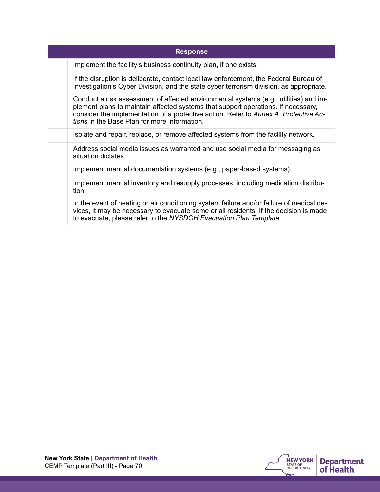| <b>Response</b>                                                                                                                                                                                                                                                                                                    |
|--------------------------------------------------------------------------------------------------------------------------------------------------------------------------------------------------------------------------------------------------------------------------------------------------------------------|
| Implement the facility's business continuity plan, if one exists.                                                                                                                                                                                                                                                  |
| If the disruption is deliberate, contact local law enforcement, the Federal Bureau of<br>Investigation's Cyber Division, and the state cyber terrorism division, as appropriate.                                                                                                                                   |
| Conduct a risk assessment of affected environmental systems (e.g., utilities) and im-<br>plement plans to maintain affected systems that support operations. If necessary,<br>consider the implementation of a protective action. Refer to Annex A: Protective Ac-<br>tions in the Base Plan for more information. |
| Isolate and repair, replace, or remove affected systems from the facility network.                                                                                                                                                                                                                                 |
| Address social media issues as warranted and use social media for messaging as<br>situation dictates.                                                                                                                                                                                                              |
| Implement manual documentation systems (e.g., paper-based systems).                                                                                                                                                                                                                                                |
| Implement manual inventory and resupply processes, including medication distribu-<br>tion.                                                                                                                                                                                                                         |
| In the event of heating or air conditioning system failure and/or failure of medical de-<br>vices, it may be necessary to evacuate some or all residents. If the decision is made<br>to evacuate, please refer to the NYSDOH Evacuation Plan Template.                                                             |

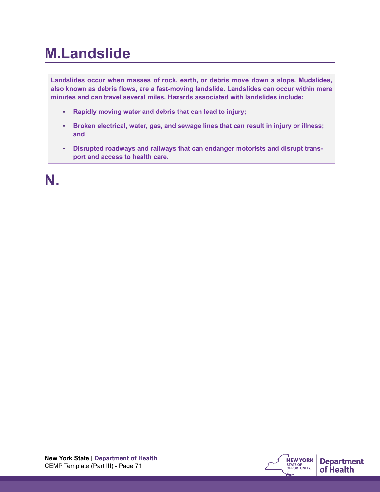### **M.Landslide**

**Landslides occur when masses of rock, earth, or debris move down a slope. Mudslides, also known as debris flows, are a fast-moving landslide. Landslides can occur within mere minutes and can travel several miles. Hazards associated with landslides include:** 

- **Rapidly moving water and debris that can lead to injury;**
- **Broken electrical, water, gas, and sewage lines that can result in injury or illness; and**
- **Disrupted roadways and railways that can endanger motorists and disrupt transport and access to health care.**

**N.**

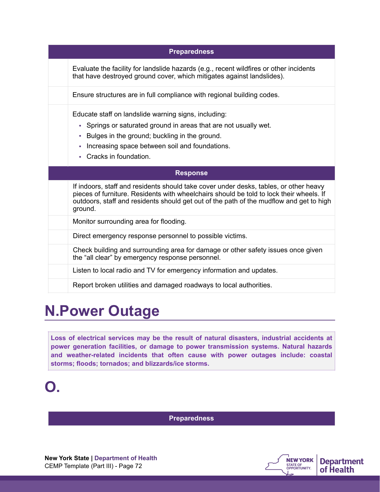| <b>Preparedness</b>                                                                                                                                                                                                                                                                    |
|----------------------------------------------------------------------------------------------------------------------------------------------------------------------------------------------------------------------------------------------------------------------------------------|
| Evaluate the facility for landslide hazards (e.g., recent wildfires or other incidents<br>that have destroyed ground cover, which mitigates against landslides).                                                                                                                       |
| Ensure structures are in full compliance with regional building codes.                                                                                                                                                                                                                 |
| Educate staff on landslide warning signs, including:<br>• Springs or saturated ground in areas that are not usually wet.<br>Bulges in the ground; buckling in the ground.<br>٠<br>Increasing space between soil and foundations.<br>٠<br>Cracks in foundation.                         |
|                                                                                                                                                                                                                                                                                        |
| <b>Response</b>                                                                                                                                                                                                                                                                        |
| If indoors, staff and residents should take cover under desks, tables, or other heavy<br>pieces of furniture. Residents with wheelchairs should be told to lock their wheels. If<br>outdoors, staff and residents should get out of the path of the mudflow and get to high<br>ground. |
| Monitor surrounding area for flooding.                                                                                                                                                                                                                                                 |
| Direct emergency response personnel to possible victims.                                                                                                                                                                                                                               |
| Check building and surrounding area for damage or other safety issues once given<br>the "all clear" by emergency response personnel.                                                                                                                                                   |
| Listen to local radio and TV for emergency information and updates.                                                                                                                                                                                                                    |

### **N.Power Outage**

**Loss of electrical services may be the result of natural disasters, industrial accidents at power generation facilities, or damage to power transmission systems. Natural hazards and weather-related incidents that often cause with power outages include: coastal storms; floods; tornados; and blizzards/ice storms.**



**Preparedness**

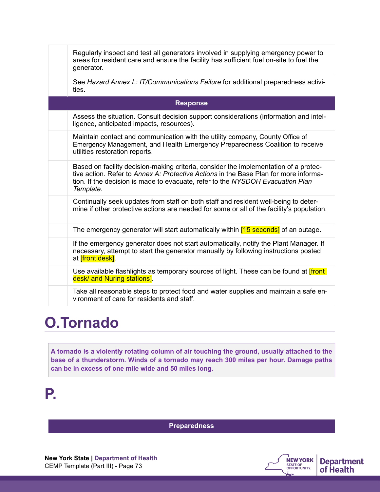|                 | Regularly inspect and test all generators involved in supplying emergency power to<br>areas for resident care and ensure the facility has sufficient fuel on-site to fuel the<br>generator.                                                                                 |  |
|-----------------|-----------------------------------------------------------------------------------------------------------------------------------------------------------------------------------------------------------------------------------------------------------------------------|--|
|                 | See Hazard Annex L: IT/Communications Failure for additional preparedness activi-<br>ties.                                                                                                                                                                                  |  |
| <b>Response</b> |                                                                                                                                                                                                                                                                             |  |
|                 | Assess the situation. Consult decision support considerations (information and intel-<br>ligence, anticipated impacts, resources).                                                                                                                                          |  |
|                 | Maintain contact and communication with the utility company, County Office of<br>Emergency Management, and Health Emergency Preparedness Coalition to receive<br>utilities restoration reports.                                                                             |  |
|                 | Based on facility decision-making criteria, consider the implementation of a protec-<br>tive action. Refer to Annex A: Protective Actions in the Base Plan for more informa-<br>tion. If the decision is made to evacuate, refer to the NYSDOH Evacuation Plan<br>Template. |  |
|                 | Continually seek updates from staff on both staff and resident well-being to deter-<br>mine if other protective actions are needed for some or all of the facility's population.                                                                                            |  |
|                 | The emergency generator will start automatically within [15 seconds] of an outage.                                                                                                                                                                                          |  |
|                 | If the emergency generator does not start automatically, notify the Plant Manager. If<br>necessary, attempt to start the generator manually by following instructions posted<br>at <i>[front desk]</i> .                                                                    |  |
|                 | Use available flashlights as temporary sources of light. These can be found at <i>[front</i> ]<br>desk/ and Nuring stations].                                                                                                                                               |  |
|                 | Take all reasonable steps to protect food and water supplies and maintain a safe en-<br>vironment of care for residents and staff.                                                                                                                                          |  |

## **O.Tornado**

**A tornado is a violently rotating column of air touching the ground, usually attached to the base of a thunderstorm. Winds of a tornado may reach 300 miles per hour. Damage paths can be in excess of one mile wide and 50 miles long.**

## **P.**

**Preparedness**

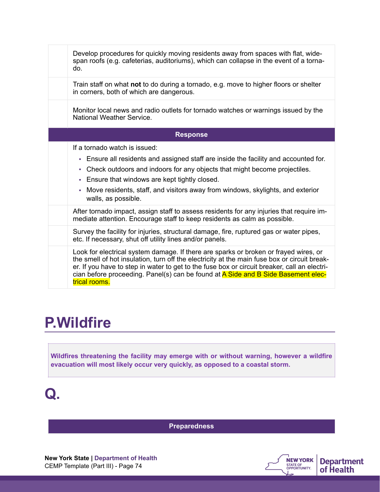| Develop procedures for quickly moving residents away from spaces with flat, wide-<br>span roofs (e.g. cafeterias, auditoriums), which can collapse in the event of a torna-<br>do.                                                                                                                                                                                                         |
|--------------------------------------------------------------------------------------------------------------------------------------------------------------------------------------------------------------------------------------------------------------------------------------------------------------------------------------------------------------------------------------------|
| Train staff on what not to do during a tornado, e.g. move to higher floors or shelter<br>in corners, both of which are dangerous.                                                                                                                                                                                                                                                          |
| Monitor local news and radio outlets for tornado watches or warnings issued by the<br>National Weather Service.                                                                                                                                                                                                                                                                            |
| <b>Response</b>                                                                                                                                                                                                                                                                                                                                                                            |
| If a tornado watch is issued:<br>Ensure all residents and assigned staff are inside the facility and accounted for.<br>a.<br>Check outdoors and indoors for any objects that might become projectiles.<br>÷,<br>Ensure that windows are kept tightly closed.<br>×,<br>Move residents, staff, and visitors away from windows, skylights, and exterior<br>×,<br>walls, as possible.          |
| After tornado impact, assign staff to assess residents for any injuries that require im-<br>mediate attention. Encourage staff to keep residents as calm as possible.                                                                                                                                                                                                                      |
| Survey the facility for injuries, structural damage, fire, ruptured gas or water pipes,<br>etc. If necessary, shut off utility lines and/or panels.                                                                                                                                                                                                                                        |
| Look for electrical system damage. If there are sparks or broken or frayed wires, or<br>the smell of hot insulation, turn off the electricity at the main fuse box or circuit break-<br>er. If you have to step in water to get to the fuse box or circuit breaker, call an electri-<br>cian before proceeding. Panel(s) can be found at A Side and B Side Basement elec-<br>trical rooms. |

## **P.Wildfire**

**Wildfires threatening the facility may emerge with or without warning, however a wildfire evacuation will most likely occur very quickly, as opposed to a coastal storm.** 

## **Q.**

**Preparedness**